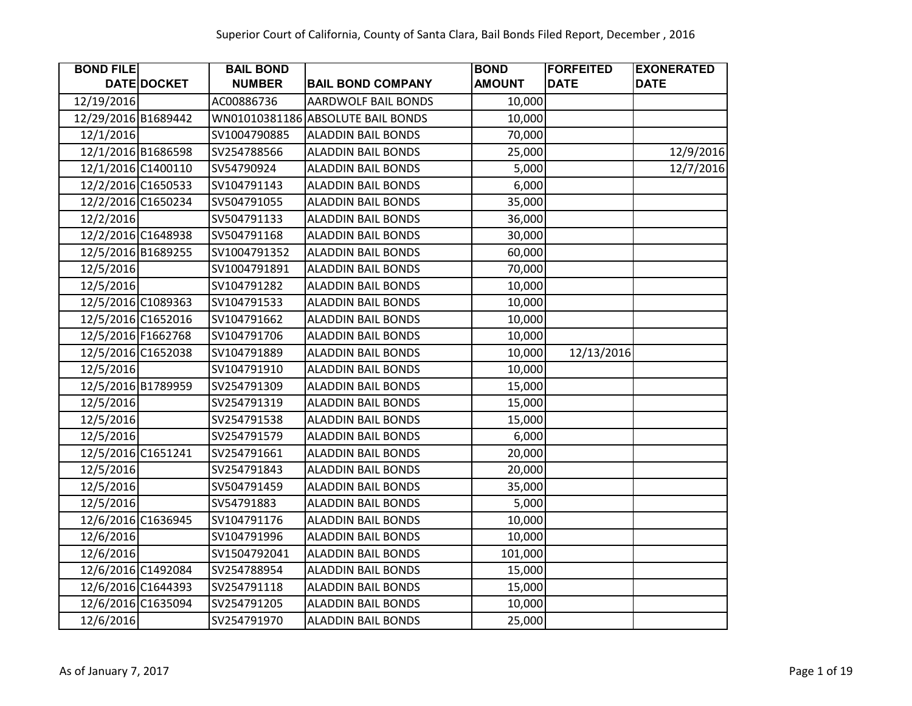| <b>BOND FILE</b>    |                    | <b>BAIL BOND</b> |                                   | <b>BOND</b>   | <b>FORFEITED</b> | <b>EXONERATED</b> |
|---------------------|--------------------|------------------|-----------------------------------|---------------|------------------|-------------------|
|                     | DATE DOCKET        | <b>NUMBER</b>    | <b>BAIL BOND COMPANY</b>          | <b>AMOUNT</b> | <b>DATE</b>      | <b>DATE</b>       |
| 12/19/2016          |                    | AC00886736       | AARDWOLF BAIL BONDS               | 10,000        |                  |                   |
| 12/29/2016 B1689442 |                    |                  | WN01010381186 ABSOLUTE BAIL BONDS | 10,000        |                  |                   |
| 12/1/2016           |                    | SV1004790885     | <b>ALADDIN BAIL BONDS</b>         | 70,000        |                  |                   |
|                     | 12/1/2016 B1686598 | SV254788566      | <b>ALADDIN BAIL BONDS</b>         | 25,000        |                  | 12/9/2016         |
|                     | 12/1/2016 C1400110 | SV54790924       | <b>ALADDIN BAIL BONDS</b>         | 5,000         |                  | 12/7/2016         |
|                     | 12/2/2016 C1650533 | SV104791143      | <b>ALADDIN BAIL BONDS</b>         | 6,000         |                  |                   |
|                     | 12/2/2016 C1650234 | SV504791055      | <b>ALADDIN BAIL BONDS</b>         | 35,000        |                  |                   |
| 12/2/2016           |                    | SV504791133      | <b>ALADDIN BAIL BONDS</b>         | 36,000        |                  |                   |
|                     | 12/2/2016 C1648938 | SV504791168      | <b>ALADDIN BAIL BONDS</b>         | 30,000        |                  |                   |
|                     | 12/5/2016 B1689255 | SV1004791352     | <b>ALADDIN BAIL BONDS</b>         | 60,000        |                  |                   |
| 12/5/2016           |                    | SV1004791891     | <b>ALADDIN BAIL BONDS</b>         | 70,000        |                  |                   |
| 12/5/2016           |                    | SV104791282      | <b>ALADDIN BAIL BONDS</b>         | 10,000        |                  |                   |
|                     | 12/5/2016 C1089363 | SV104791533      | <b>ALADDIN BAIL BONDS</b>         | 10,000        |                  |                   |
|                     | 12/5/2016 C1652016 | SV104791662      | <b>ALADDIN BAIL BONDS</b>         | 10,000        |                  |                   |
|                     | 12/5/2016 F1662768 | SV104791706      | <b>ALADDIN BAIL BONDS</b>         | 10,000        |                  |                   |
|                     | 12/5/2016 C1652038 | SV104791889      | <b>ALADDIN BAIL BONDS</b>         | 10,000        | 12/13/2016       |                   |
| 12/5/2016           |                    | SV104791910      | <b>ALADDIN BAIL BONDS</b>         | 10,000        |                  |                   |
|                     | 12/5/2016 B1789959 | SV254791309      | <b>ALADDIN BAIL BONDS</b>         | 15,000        |                  |                   |
| 12/5/2016           |                    | SV254791319      | <b>ALADDIN BAIL BONDS</b>         | 15,000        |                  |                   |
| 12/5/2016           |                    | SV254791538      | <b>ALADDIN BAIL BONDS</b>         | 15,000        |                  |                   |
| 12/5/2016           |                    | SV254791579      | <b>ALADDIN BAIL BONDS</b>         | 6,000         |                  |                   |
|                     | 12/5/2016 C1651241 | SV254791661      | <b>ALADDIN BAIL BONDS</b>         | 20,000        |                  |                   |
| 12/5/2016           |                    | SV254791843      | <b>ALADDIN BAIL BONDS</b>         | 20,000        |                  |                   |
| 12/5/2016           |                    | SV504791459      | <b>ALADDIN BAIL BONDS</b>         | 35,000        |                  |                   |
| 12/5/2016           |                    | SV54791883       | <b>ALADDIN BAIL BONDS</b>         | 5,000         |                  |                   |
|                     | 12/6/2016 C1636945 | SV104791176      | <b>ALADDIN BAIL BONDS</b>         | 10,000        |                  |                   |
| 12/6/2016           |                    | SV104791996      | <b>ALADDIN BAIL BONDS</b>         | 10,000        |                  |                   |
| 12/6/2016           |                    | SV1504792041     | <b>ALADDIN BAIL BONDS</b>         | 101,000       |                  |                   |
|                     | 12/6/2016 C1492084 | SV254788954      | <b>ALADDIN BAIL BONDS</b>         | 15,000        |                  |                   |
|                     | 12/6/2016 C1644393 | SV254791118      | <b>ALADDIN BAIL BONDS</b>         | 15,000        |                  |                   |
|                     | 12/6/2016 C1635094 | SV254791205      | <b>ALADDIN BAIL BONDS</b>         | 10,000        |                  |                   |
| 12/6/2016           |                    | SV254791970      | <b>ALADDIN BAIL BONDS</b>         | 25,000        |                  |                   |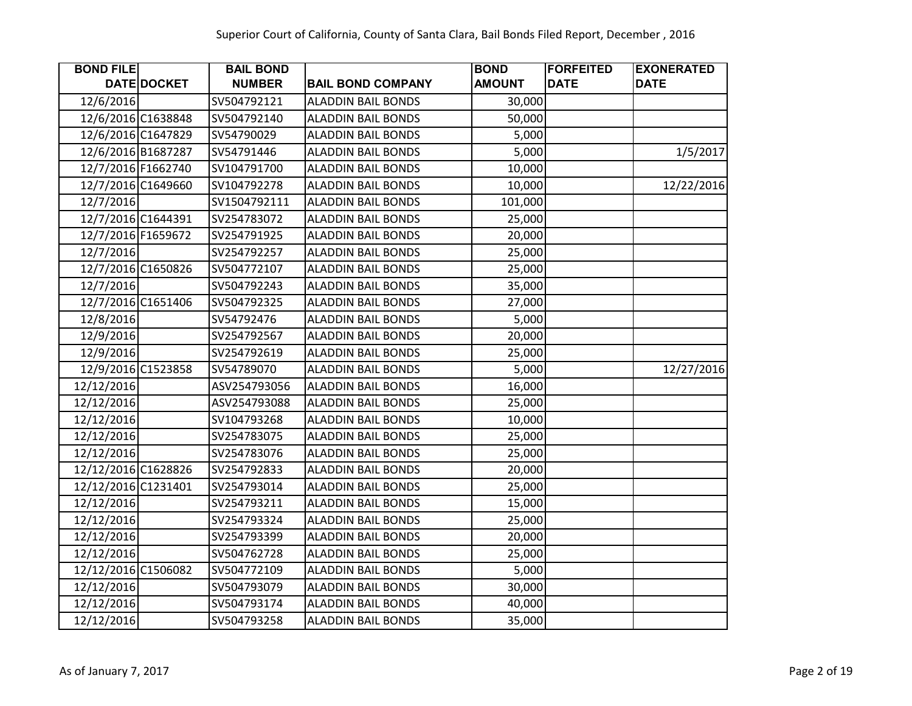| <b>BOND FILE</b>    |                    | <b>BAIL BOND</b> |                           | <b>BOND</b>   | <b>FORFEITED</b> | <b>EXONERATED</b> |
|---------------------|--------------------|------------------|---------------------------|---------------|------------------|-------------------|
|                     | <b>DATE DOCKET</b> | <b>NUMBER</b>    | <b>BAIL BOND COMPANY</b>  | <b>AMOUNT</b> | <b>DATE</b>      | <b>DATE</b>       |
| 12/6/2016           |                    | SV504792121      | <b>ALADDIN BAIL BONDS</b> | 30,000        |                  |                   |
|                     | 12/6/2016 C1638848 | SV504792140      | <b>ALADDIN BAIL BONDS</b> | 50,000        |                  |                   |
|                     | 12/6/2016 C1647829 | SV54790029       | <b>ALADDIN BAIL BONDS</b> | 5,000         |                  |                   |
|                     | 12/6/2016 B1687287 | SV54791446       | <b>ALADDIN BAIL BONDS</b> | 5,000         |                  | 1/5/2017          |
|                     | 12/7/2016 F1662740 | SV104791700      | <b>ALADDIN BAIL BONDS</b> | 10,000        |                  |                   |
|                     | 12/7/2016 C1649660 | SV104792278      | <b>ALADDIN BAIL BONDS</b> | 10,000        |                  | 12/22/2016        |
| 12/7/2016           |                    | SV1504792111     | <b>ALADDIN BAIL BONDS</b> | 101,000       |                  |                   |
|                     | 12/7/2016 C1644391 | SV254783072      | <b>ALADDIN BAIL BONDS</b> | 25,000        |                  |                   |
| 12/7/2016 F1659672  |                    | SV254791925      | <b>ALADDIN BAIL BONDS</b> | 20,000        |                  |                   |
| 12/7/2016           |                    | SV254792257      | <b>ALADDIN BAIL BONDS</b> | 25,000        |                  |                   |
|                     | 12/7/2016 C1650826 | SV504772107      | <b>ALADDIN BAIL BONDS</b> | 25,000        |                  |                   |
| 12/7/2016           |                    | SV504792243      | <b>ALADDIN BAIL BONDS</b> | 35,000        |                  |                   |
|                     | 12/7/2016 C1651406 | SV504792325      | <b>ALADDIN BAIL BONDS</b> | 27,000        |                  |                   |
| 12/8/2016           |                    | SV54792476       | <b>ALADDIN BAIL BONDS</b> | 5,000         |                  |                   |
| 12/9/2016           |                    | SV254792567      | <b>ALADDIN BAIL BONDS</b> | 20,000        |                  |                   |
| 12/9/2016           |                    | SV254792619      | <b>ALADDIN BAIL BONDS</b> | 25,000        |                  |                   |
|                     | 12/9/2016 C1523858 | SV54789070       | <b>ALADDIN BAIL BONDS</b> | 5,000         |                  | 12/27/2016        |
| 12/12/2016          |                    | ASV254793056     | <b>ALADDIN BAIL BONDS</b> | 16,000        |                  |                   |
| 12/12/2016          |                    | ASV254793088     | <b>ALADDIN BAIL BONDS</b> | 25,000        |                  |                   |
| 12/12/2016          |                    | SV104793268      | <b>ALADDIN BAIL BONDS</b> | 10,000        |                  |                   |
| 12/12/2016          |                    | SV254783075      | <b>ALADDIN BAIL BONDS</b> | 25,000        |                  |                   |
| 12/12/2016          |                    | SV254783076      | <b>ALADDIN BAIL BONDS</b> | 25,000        |                  |                   |
| 12/12/2016 C1628826 |                    | SV254792833      | <b>ALADDIN BAIL BONDS</b> | 20,000        |                  |                   |
| 12/12/2016 C1231401 |                    | SV254793014      | <b>ALADDIN BAIL BONDS</b> | 25,000        |                  |                   |
| 12/12/2016          |                    | SV254793211      | <b>ALADDIN BAIL BONDS</b> | 15,000        |                  |                   |
| 12/12/2016          |                    | SV254793324      | <b>ALADDIN BAIL BONDS</b> | 25,000        |                  |                   |
| 12/12/2016          |                    | SV254793399      | <b>ALADDIN BAIL BONDS</b> | 20,000        |                  |                   |
| 12/12/2016          |                    | SV504762728      | <b>ALADDIN BAIL BONDS</b> | 25,000        |                  |                   |
| 12/12/2016 C1506082 |                    | SV504772109      | <b>ALADDIN BAIL BONDS</b> | 5,000         |                  |                   |
| 12/12/2016          |                    | SV504793079      | <b>ALADDIN BAIL BONDS</b> | 30,000        |                  |                   |
| 12/12/2016          |                    | SV504793174      | <b>ALADDIN BAIL BONDS</b> | 40,000        |                  |                   |
| 12/12/2016          |                    | SV504793258      | <b>ALADDIN BAIL BONDS</b> | 35,000        |                  |                   |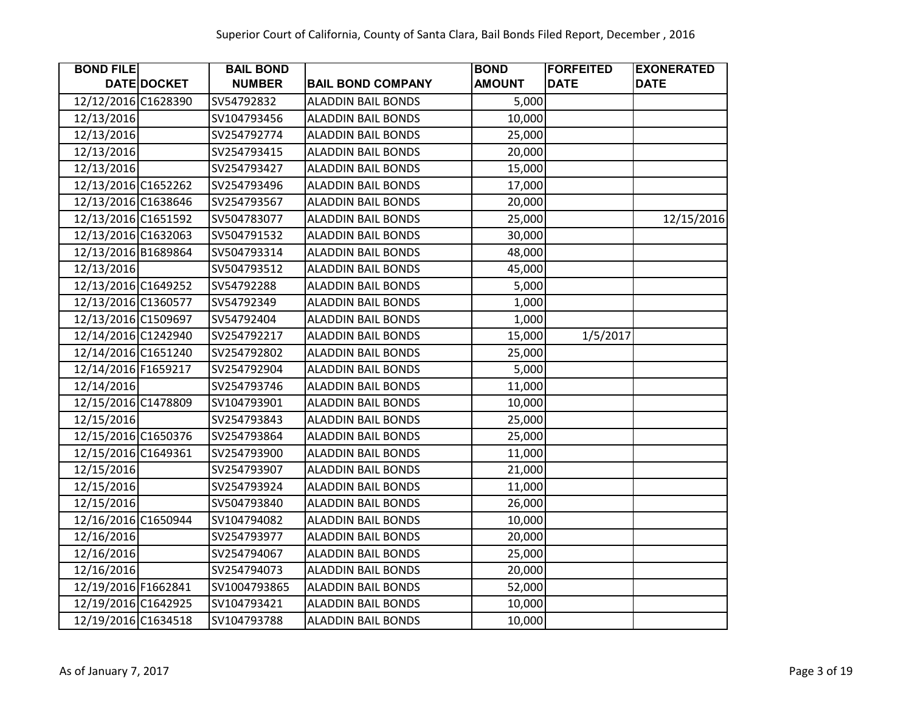| <b>BOND FILE</b>    |             | <b>BAIL BOND</b> |                           | <b>BOND</b>   | <b>FORFEITED</b> | <b>EXONERATED</b> |
|---------------------|-------------|------------------|---------------------------|---------------|------------------|-------------------|
|                     | DATE DOCKET | <b>NUMBER</b>    | <b>BAIL BOND COMPANY</b>  | <b>AMOUNT</b> | <b>DATE</b>      | <b>DATE</b>       |
| 12/12/2016 C1628390 |             | SV54792832       | <b>ALADDIN BAIL BONDS</b> | 5,000         |                  |                   |
| 12/13/2016          |             | SV104793456      | <b>ALADDIN BAIL BONDS</b> | 10,000        |                  |                   |
| 12/13/2016          |             | SV254792774      | <b>ALADDIN BAIL BONDS</b> | 25,000        |                  |                   |
| 12/13/2016          |             | SV254793415      | <b>ALADDIN BAIL BONDS</b> | 20,000        |                  |                   |
| 12/13/2016          |             | SV254793427      | <b>ALADDIN BAIL BONDS</b> | 15,000        |                  |                   |
| 12/13/2016 C1652262 |             | SV254793496      | <b>ALADDIN BAIL BONDS</b> | 17,000        |                  |                   |
| 12/13/2016 C1638646 |             | SV254793567      | <b>ALADDIN BAIL BONDS</b> | 20,000        |                  |                   |
| 12/13/2016 C1651592 |             | SV504783077      | <b>ALADDIN BAIL BONDS</b> | 25,000        |                  | 12/15/2016        |
| 12/13/2016 C1632063 |             | SV504791532      | <b>ALADDIN BAIL BONDS</b> | 30,000        |                  |                   |
| 12/13/2016 B1689864 |             | SV504793314      | <b>ALADDIN BAIL BONDS</b> | 48,000        |                  |                   |
| 12/13/2016          |             | SV504793512      | <b>ALADDIN BAIL BONDS</b> | 45,000        |                  |                   |
| 12/13/2016 C1649252 |             | SV54792288       | <b>ALADDIN BAIL BONDS</b> | 5,000         |                  |                   |
| 12/13/2016 C1360577 |             | SV54792349       | <b>ALADDIN BAIL BONDS</b> | 1,000         |                  |                   |
| 12/13/2016 C1509697 |             | SV54792404       | <b>ALADDIN BAIL BONDS</b> | 1,000         |                  |                   |
| 12/14/2016 C1242940 |             | SV254792217      | <b>ALADDIN BAIL BONDS</b> | 15,000        | 1/5/2017         |                   |
| 12/14/2016 C1651240 |             | SV254792802      | <b>ALADDIN BAIL BONDS</b> | 25,000        |                  |                   |
| 12/14/2016 F1659217 |             | SV254792904      | <b>ALADDIN BAIL BONDS</b> | 5,000         |                  |                   |
| 12/14/2016          |             | SV254793746      | <b>ALADDIN BAIL BONDS</b> | 11,000        |                  |                   |
| 12/15/2016 C1478809 |             | SV104793901      | <b>ALADDIN BAIL BONDS</b> | 10,000        |                  |                   |
| 12/15/2016          |             | SV254793843      | <b>ALADDIN BAIL BONDS</b> | 25,000        |                  |                   |
| 12/15/2016 C1650376 |             | SV254793864      | <b>ALADDIN BAIL BONDS</b> | 25,000        |                  |                   |
| 12/15/2016 C1649361 |             | SV254793900      | <b>ALADDIN BAIL BONDS</b> | 11,000        |                  |                   |
| 12/15/2016          |             | SV254793907      | <b>ALADDIN BAIL BONDS</b> | 21,000        |                  |                   |
| 12/15/2016          |             | SV254793924      | <b>ALADDIN BAIL BONDS</b> | 11,000        |                  |                   |
| 12/15/2016          |             | SV504793840      | <b>ALADDIN BAIL BONDS</b> | 26,000        |                  |                   |
| 12/16/2016 C1650944 |             | SV104794082      | <b>ALADDIN BAIL BONDS</b> | 10,000        |                  |                   |
| 12/16/2016          |             | SV254793977      | <b>ALADDIN BAIL BONDS</b> | 20,000        |                  |                   |
| 12/16/2016          |             | SV254794067      | <b>ALADDIN BAIL BONDS</b> | 25,000        |                  |                   |
| 12/16/2016          |             | SV254794073      | <b>ALADDIN BAIL BONDS</b> | 20,000        |                  |                   |
| 12/19/2016 F1662841 |             | SV1004793865     | <b>ALADDIN BAIL BONDS</b> | 52,000        |                  |                   |
| 12/19/2016 C1642925 |             | SV104793421      | <b>ALADDIN BAIL BONDS</b> | 10,000        |                  |                   |
| 12/19/2016 C1634518 |             | SV104793788      | <b>ALADDIN BAIL BONDS</b> | 10,000        |                  |                   |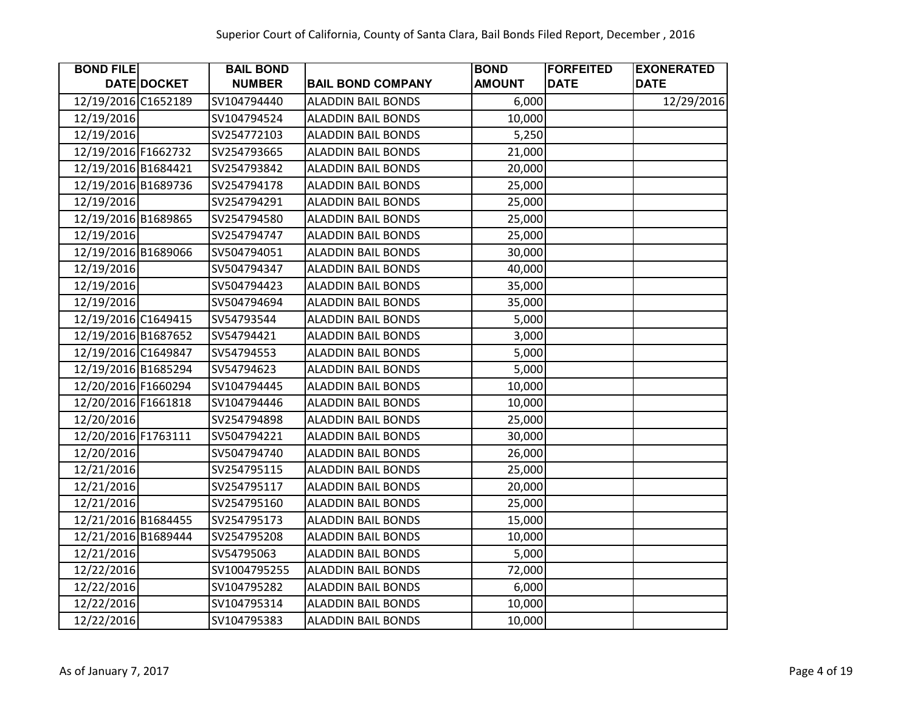| <b>BOND FILE</b>    |             | <b>BAIL BOND</b> |                           | <b>BOND</b>   | <b>FORFEITED</b> | <b>EXONERATED</b> |
|---------------------|-------------|------------------|---------------------------|---------------|------------------|-------------------|
|                     | DATE DOCKET | <b>NUMBER</b>    | <b>BAIL BOND COMPANY</b>  | <b>AMOUNT</b> | <b>DATE</b>      | <b>DATE</b>       |
| 12/19/2016 C1652189 |             | SV104794440      | <b>ALADDIN BAIL BONDS</b> | 6,000         |                  | 12/29/2016        |
| 12/19/2016          |             | SV104794524      | <b>ALADDIN BAIL BONDS</b> | 10,000        |                  |                   |
| 12/19/2016          |             | SV254772103      | <b>ALADDIN BAIL BONDS</b> | 5,250         |                  |                   |
| 12/19/2016 F1662732 |             | SV254793665      | <b>ALADDIN BAIL BONDS</b> | 21,000        |                  |                   |
| 12/19/2016 B1684421 |             | SV254793842      | <b>ALADDIN BAIL BONDS</b> | 20,000        |                  |                   |
| 12/19/2016 B1689736 |             | SV254794178      | <b>ALADDIN BAIL BONDS</b> | 25,000        |                  |                   |
| 12/19/2016          |             | SV254794291      | <b>ALADDIN BAIL BONDS</b> | 25,000        |                  |                   |
| 12/19/2016 B1689865 |             | SV254794580      | <b>ALADDIN BAIL BONDS</b> | 25,000        |                  |                   |
| 12/19/2016          |             | SV254794747      | <b>ALADDIN BAIL BONDS</b> | 25,000        |                  |                   |
| 12/19/2016 B1689066 |             | SV504794051      | <b>ALADDIN BAIL BONDS</b> | 30,000        |                  |                   |
| 12/19/2016          |             | SV504794347      | <b>ALADDIN BAIL BONDS</b> | 40,000        |                  |                   |
| 12/19/2016          |             | SV504794423      | <b>ALADDIN BAIL BONDS</b> | 35,000        |                  |                   |
| 12/19/2016          |             | SV504794694      | <b>ALADDIN BAIL BONDS</b> | 35,000        |                  |                   |
| 12/19/2016 C1649415 |             | SV54793544       | <b>ALADDIN BAIL BONDS</b> | 5,000         |                  |                   |
| 12/19/2016 B1687652 |             | SV54794421       | <b>ALADDIN BAIL BONDS</b> | 3,000         |                  |                   |
| 12/19/2016 C1649847 |             | SV54794553       | <b>ALADDIN BAIL BONDS</b> | 5,000         |                  |                   |
| 12/19/2016 B1685294 |             | SV54794623       | <b>ALADDIN BAIL BONDS</b> | 5,000         |                  |                   |
| 12/20/2016 F1660294 |             | SV104794445      | <b>ALADDIN BAIL BONDS</b> | 10,000        |                  |                   |
| 12/20/2016 F1661818 |             | SV104794446      | <b>ALADDIN BAIL BONDS</b> | 10,000        |                  |                   |
| 12/20/2016          |             | SV254794898      | <b>ALADDIN BAIL BONDS</b> | 25,000        |                  |                   |
| 12/20/2016 F1763111 |             | SV504794221      | <b>ALADDIN BAIL BONDS</b> | 30,000        |                  |                   |
| 12/20/2016          |             | SV504794740      | <b>ALADDIN BAIL BONDS</b> | 26,000        |                  |                   |
| 12/21/2016          |             | SV254795115      | <b>ALADDIN BAIL BONDS</b> | 25,000        |                  |                   |
| 12/21/2016          |             | SV254795117      | <b>ALADDIN BAIL BONDS</b> | 20,000        |                  |                   |
| 12/21/2016          |             | SV254795160      | <b>ALADDIN BAIL BONDS</b> | 25,000        |                  |                   |
| 12/21/2016 B1684455 |             | SV254795173      | <b>ALADDIN BAIL BONDS</b> | 15,000        |                  |                   |
| 12/21/2016 B1689444 |             | SV254795208      | <b>ALADDIN BAIL BONDS</b> | 10,000        |                  |                   |
| 12/21/2016          |             | SV54795063       | <b>ALADDIN BAIL BONDS</b> | 5,000         |                  |                   |
| 12/22/2016          |             | SV1004795255     | <b>ALADDIN BAIL BONDS</b> | 72,000        |                  |                   |
| 12/22/2016          |             | SV104795282      | <b>ALADDIN BAIL BONDS</b> | 6,000         |                  |                   |
| 12/22/2016          |             | SV104795314      | <b>ALADDIN BAIL BONDS</b> | 10,000        |                  |                   |
| 12/22/2016          |             | SV104795383      | <b>ALADDIN BAIL BONDS</b> | 10,000        |                  |                   |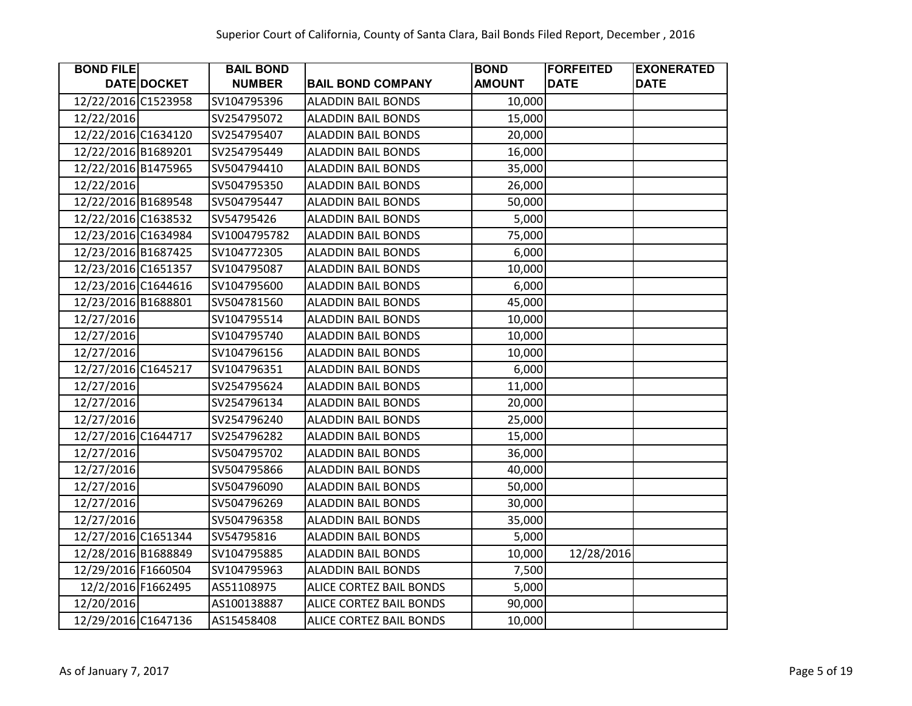| <b>BOND FILE</b>    |                    | <b>BAIL BOND</b> |                           | <b>BOND</b>   | <b>FORFEITED</b> | <b>EXONERATED</b> |
|---------------------|--------------------|------------------|---------------------------|---------------|------------------|-------------------|
|                     | DATE DOCKET        | <b>NUMBER</b>    | <b>BAIL BOND COMPANY</b>  | <b>AMOUNT</b> | <b>DATE</b>      | <b>DATE</b>       |
| 12/22/2016 C1523958 |                    | SV104795396      | <b>ALADDIN BAIL BONDS</b> | 10,000        |                  |                   |
| 12/22/2016          |                    | SV254795072      | <b>ALADDIN BAIL BONDS</b> | 15,000        |                  |                   |
| 12/22/2016 C1634120 |                    | SV254795407      | <b>ALADDIN BAIL BONDS</b> | 20,000        |                  |                   |
| 12/22/2016 B1689201 |                    | SV254795449      | <b>ALADDIN BAIL BONDS</b> | 16,000        |                  |                   |
| 12/22/2016 B1475965 |                    | SV504794410      | <b>ALADDIN BAIL BONDS</b> | 35,000        |                  |                   |
| 12/22/2016          |                    | SV504795350      | <b>ALADDIN BAIL BONDS</b> | 26,000        |                  |                   |
| 12/22/2016 B1689548 |                    | SV504795447      | <b>ALADDIN BAIL BONDS</b> | 50,000        |                  |                   |
| 12/22/2016 C1638532 |                    | SV54795426       | <b>ALADDIN BAIL BONDS</b> | 5,000         |                  |                   |
| 12/23/2016 C1634984 |                    | SV1004795782     | <b>ALADDIN BAIL BONDS</b> | 75,000        |                  |                   |
| 12/23/2016 B1687425 |                    | SV104772305      | <b>ALADDIN BAIL BONDS</b> | 6,000         |                  |                   |
| 12/23/2016 C1651357 |                    | SV104795087      | <b>ALADDIN BAIL BONDS</b> | 10,000        |                  |                   |
| 12/23/2016 C1644616 |                    | SV104795600      | <b>ALADDIN BAIL BONDS</b> | 6,000         |                  |                   |
| 12/23/2016 B1688801 |                    | SV504781560      | <b>ALADDIN BAIL BONDS</b> | 45,000        |                  |                   |
| 12/27/2016          |                    | SV104795514      | <b>ALADDIN BAIL BONDS</b> | 10,000        |                  |                   |
| 12/27/2016          |                    | SV104795740      | <b>ALADDIN BAIL BONDS</b> | 10,000        |                  |                   |
| 12/27/2016          |                    | SV104796156      | <b>ALADDIN BAIL BONDS</b> | 10,000        |                  |                   |
| 12/27/2016 C1645217 |                    | SV104796351      | <b>ALADDIN BAIL BONDS</b> | 6,000         |                  |                   |
| 12/27/2016          |                    | SV254795624      | <b>ALADDIN BAIL BONDS</b> | 11,000        |                  |                   |
| 12/27/2016          |                    | SV254796134      | <b>ALADDIN BAIL BONDS</b> | 20,000        |                  |                   |
| 12/27/2016          |                    | SV254796240      | <b>ALADDIN BAIL BONDS</b> | 25,000        |                  |                   |
| 12/27/2016 C1644717 |                    | SV254796282      | <b>ALADDIN BAIL BONDS</b> | 15,000        |                  |                   |
| 12/27/2016          |                    | SV504795702      | <b>ALADDIN BAIL BONDS</b> | 36,000        |                  |                   |
| 12/27/2016          |                    | SV504795866      | <b>ALADDIN BAIL BONDS</b> | 40,000        |                  |                   |
| 12/27/2016          |                    | SV504796090      | <b>ALADDIN BAIL BONDS</b> | 50,000        |                  |                   |
| 12/27/2016          |                    | SV504796269      | <b>ALADDIN BAIL BONDS</b> | 30,000        |                  |                   |
| 12/27/2016          |                    | SV504796358      | <b>ALADDIN BAIL BONDS</b> | 35,000        |                  |                   |
| 12/27/2016 C1651344 |                    | SV54795816       | <b>ALADDIN BAIL BONDS</b> | 5,000         |                  |                   |
| 12/28/2016 B1688849 |                    | SV104795885      | <b>ALADDIN BAIL BONDS</b> | 10,000        | 12/28/2016       |                   |
| 12/29/2016 F1660504 |                    | SV104795963      | <b>ALADDIN BAIL BONDS</b> | 7,500         |                  |                   |
|                     | 12/2/2016 F1662495 | AS51108975       | ALICE CORTEZ BAIL BONDS   | 5,000         |                  |                   |
| 12/20/2016          |                    | AS100138887      | ALICE CORTEZ BAIL BONDS   | 90,000        |                  |                   |
| 12/29/2016 C1647136 |                    | AS15458408       | ALICE CORTEZ BAIL BONDS   | 10,000        |                  |                   |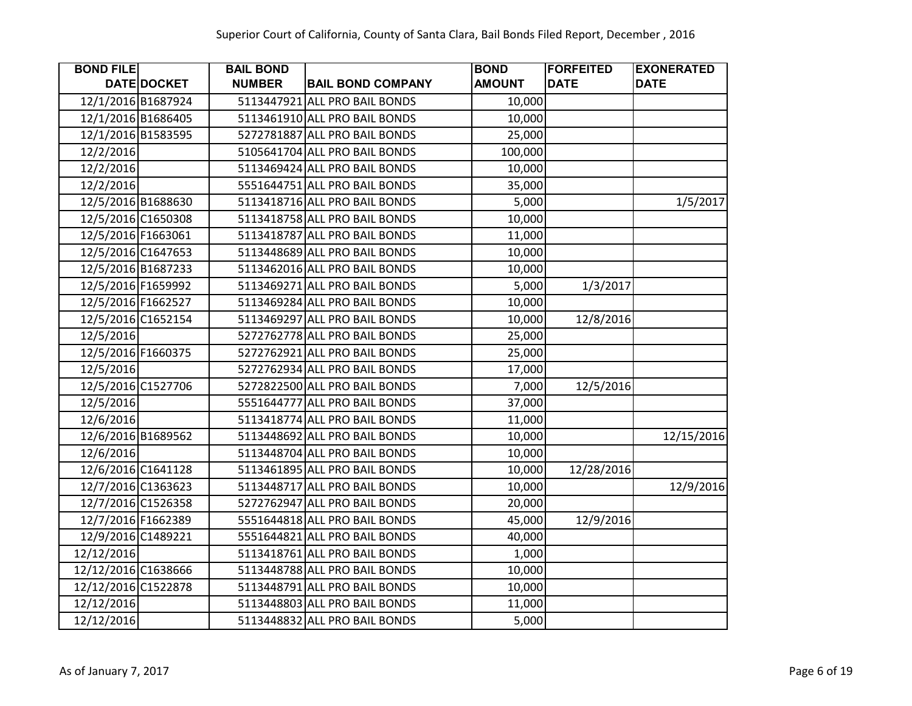| <b>BOND FILE</b>    |                    | <b>BAIL BOND</b> |                               | <b>BOND</b>   | <b>FORFEITED</b> | <b>EXONERATED</b> |
|---------------------|--------------------|------------------|-------------------------------|---------------|------------------|-------------------|
|                     | DATE DOCKET        | <b>NUMBER</b>    | <b>BAIL BOND COMPANY</b>      | <b>AMOUNT</b> | <b>DATE</b>      | <b>DATE</b>       |
|                     | 12/1/2016 B1687924 |                  | 5113447921 ALL PRO BAIL BONDS | 10,000        |                  |                   |
|                     | 12/1/2016 B1686405 |                  | 5113461910 ALL PRO BAIL BONDS | 10,000        |                  |                   |
|                     | 12/1/2016 B1583595 |                  | 5272781887 ALL PRO BAIL BONDS | 25,000        |                  |                   |
| 12/2/2016           |                    |                  | 5105641704 ALL PRO BAIL BONDS | 100,000       |                  |                   |
| 12/2/2016           |                    |                  | 5113469424 ALL PRO BAIL BONDS | 10,000        |                  |                   |
| 12/2/2016           |                    |                  | 5551644751 ALL PRO BAIL BONDS | 35,000        |                  |                   |
|                     | 12/5/2016 B1688630 |                  | 5113418716 ALL PRO BAIL BONDS | 5,000         |                  | 1/5/2017          |
|                     | 12/5/2016 C1650308 |                  | 5113418758 ALL PRO BAIL BONDS | 10,000        |                  |                   |
|                     | 12/5/2016 F1663061 |                  | 5113418787 ALL PRO BAIL BONDS | 11,000        |                  |                   |
|                     | 12/5/2016 C1647653 |                  | 5113448689 ALL PRO BAIL BONDS | 10,000        |                  |                   |
|                     | 12/5/2016 B1687233 |                  | 5113462016 ALL PRO BAIL BONDS | 10,000        |                  |                   |
|                     | 12/5/2016 F1659992 |                  | 5113469271 ALL PRO BAIL BONDS | 5,000         | 1/3/2017         |                   |
|                     | 12/5/2016 F1662527 |                  | 5113469284 ALL PRO BAIL BONDS | 10,000        |                  |                   |
|                     | 12/5/2016 C1652154 |                  | 5113469297 ALL PRO BAIL BONDS | 10,000        | 12/8/2016        |                   |
| 12/5/2016           |                    |                  | 5272762778 ALL PRO BAIL BONDS | 25,000        |                  |                   |
|                     | 12/5/2016 F1660375 |                  | 5272762921 ALL PRO BAIL BONDS | 25,000        |                  |                   |
| 12/5/2016           |                    |                  | 5272762934 ALL PRO BAIL BONDS | 17,000        |                  |                   |
|                     | 12/5/2016 C1527706 |                  | 5272822500 ALL PRO BAIL BONDS | 7,000         | 12/5/2016        |                   |
| 12/5/2016           |                    |                  | 5551644777 ALL PRO BAIL BONDS | 37,000        |                  |                   |
| 12/6/2016           |                    |                  | 5113418774 ALL PRO BAIL BONDS | 11,000        |                  |                   |
|                     | 12/6/2016 B1689562 |                  | 5113448692 ALL PRO BAIL BONDS | 10,000        |                  | 12/15/2016        |
| 12/6/2016           |                    |                  | 5113448704 ALL PRO BAIL BONDS | 10,000        |                  |                   |
|                     | 12/6/2016 C1641128 |                  | 5113461895 ALL PRO BAIL BONDS | 10,000        | 12/28/2016       |                   |
|                     | 12/7/2016 C1363623 |                  | 5113448717 ALL PRO BAIL BONDS | 10,000        |                  | 12/9/2016         |
|                     | 12/7/2016 C1526358 |                  | 5272762947 ALL PRO BAIL BONDS | 20,000        |                  |                   |
|                     | 12/7/2016 F1662389 |                  | 5551644818 ALL PRO BAIL BONDS | 45,000        | 12/9/2016        |                   |
|                     | 12/9/2016 C1489221 |                  | 5551644821 ALL PRO BAIL BONDS | 40,000        |                  |                   |
| 12/12/2016          |                    |                  | 5113418761 ALL PRO BAIL BONDS | 1,000         |                  |                   |
| 12/12/2016 C1638666 |                    |                  | 5113448788 ALL PRO BAIL BONDS | 10,000        |                  |                   |
| 12/12/2016 C1522878 |                    |                  | 5113448791 ALL PRO BAIL BONDS | 10,000        |                  |                   |
| 12/12/2016          |                    |                  | 5113448803 ALL PRO BAIL BONDS | 11,000        |                  |                   |
| 12/12/2016          |                    |                  | 5113448832 ALL PRO BAIL BONDS | 5,000         |                  |                   |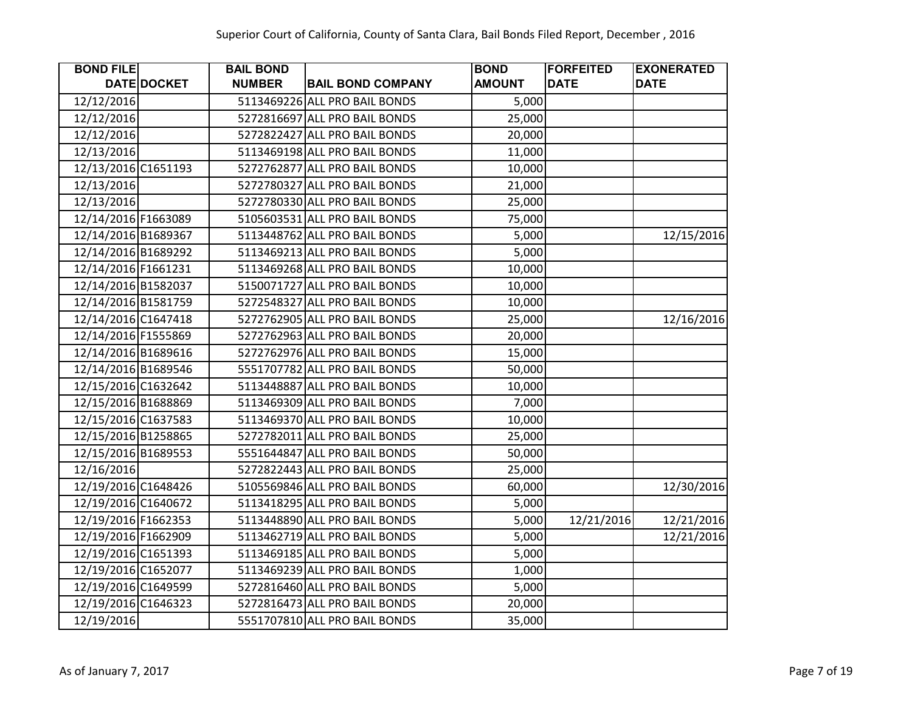| <b>BOND FILE</b>    |             | <b>BAIL BOND</b> |                               | <b>BOND</b>   | <b>FORFEITED</b> | <b>EXONERATED</b> |
|---------------------|-------------|------------------|-------------------------------|---------------|------------------|-------------------|
|                     | DATE DOCKET | <b>NUMBER</b>    | <b>BAIL BOND COMPANY</b>      | <b>AMOUNT</b> | <b>DATE</b>      | <b>DATE</b>       |
| 12/12/2016          |             |                  | 5113469226 ALL PRO BAIL BONDS | 5,000         |                  |                   |
| 12/12/2016          |             |                  | 5272816697 ALL PRO BAIL BONDS | 25,000        |                  |                   |
| 12/12/2016          |             |                  | 5272822427 ALL PRO BAIL BONDS | 20,000        |                  |                   |
| 12/13/2016          |             |                  | 5113469198 ALL PRO BAIL BONDS | 11,000        |                  |                   |
| 12/13/2016 C1651193 |             |                  | 5272762877 ALL PRO BAIL BONDS | 10,000        |                  |                   |
| 12/13/2016          |             |                  | 5272780327 ALL PRO BAIL BONDS | 21,000        |                  |                   |
| 12/13/2016          |             |                  | 5272780330 ALL PRO BAIL BONDS | 25,000        |                  |                   |
| 12/14/2016 F1663089 |             |                  | 5105603531 ALL PRO BAIL BONDS | 75,000        |                  |                   |
| 12/14/2016 B1689367 |             |                  | 5113448762 ALL PRO BAIL BONDS | 5,000         |                  | 12/15/2016        |
| 12/14/2016 B1689292 |             |                  | 5113469213 ALL PRO BAIL BONDS | 5,000         |                  |                   |
| 12/14/2016 F1661231 |             |                  | 5113469268 ALL PRO BAIL BONDS | 10,000        |                  |                   |
| 12/14/2016 B1582037 |             |                  | 5150071727 ALL PRO BAIL BONDS | 10,000        |                  |                   |
| 12/14/2016 B1581759 |             |                  | 5272548327 ALL PRO BAIL BONDS | 10,000        |                  |                   |
| 12/14/2016 C1647418 |             |                  | 5272762905 ALL PRO BAIL BONDS | 25,000        |                  | 12/16/2016        |
| 12/14/2016 F1555869 |             |                  | 5272762963 ALL PRO BAIL BONDS | 20,000        |                  |                   |
| 12/14/2016 B1689616 |             |                  | 5272762976 ALL PRO BAIL BONDS | 15,000        |                  |                   |
| 12/14/2016 B1689546 |             |                  | 5551707782 ALL PRO BAIL BONDS | 50,000        |                  |                   |
| 12/15/2016 C1632642 |             |                  | 5113448887 ALL PRO BAIL BONDS | 10,000        |                  |                   |
| 12/15/2016 B1688869 |             |                  | 5113469309 ALL PRO BAIL BONDS | 7,000         |                  |                   |
| 12/15/2016 C1637583 |             |                  | 5113469370 ALL PRO BAIL BONDS | 10,000        |                  |                   |
| 12/15/2016 B1258865 |             |                  | 5272782011 ALL PRO BAIL BONDS | 25,000        |                  |                   |
| 12/15/2016 B1689553 |             |                  | 5551644847 ALL PRO BAIL BONDS | 50,000        |                  |                   |
| 12/16/2016          |             |                  | 5272822443 ALL PRO BAIL BONDS | 25,000        |                  |                   |
| 12/19/2016 C1648426 |             |                  | 5105569846 ALL PRO BAIL BONDS | 60,000        |                  | 12/30/2016        |
| 12/19/2016 C1640672 |             |                  | 5113418295 ALL PRO BAIL BONDS | 5,000         |                  |                   |
| 12/19/2016 F1662353 |             |                  | 5113448890 ALL PRO BAIL BONDS | 5,000         | 12/21/2016       | 12/21/2016        |
| 12/19/2016 F1662909 |             |                  | 5113462719 ALL PRO BAIL BONDS | 5,000         |                  | 12/21/2016        |
| 12/19/2016 C1651393 |             |                  | 5113469185 ALL PRO BAIL BONDS | 5,000         |                  |                   |
| 12/19/2016 C1652077 |             |                  | 5113469239 ALL PRO BAIL BONDS | 1,000         |                  |                   |
| 12/19/2016 C1649599 |             |                  | 5272816460 ALL PRO BAIL BONDS | 5,000         |                  |                   |
| 12/19/2016 C1646323 |             |                  | 5272816473 ALL PRO BAIL BONDS | 20,000        |                  |                   |
| 12/19/2016          |             |                  | 5551707810 ALL PRO BAIL BONDS | 35,000        |                  |                   |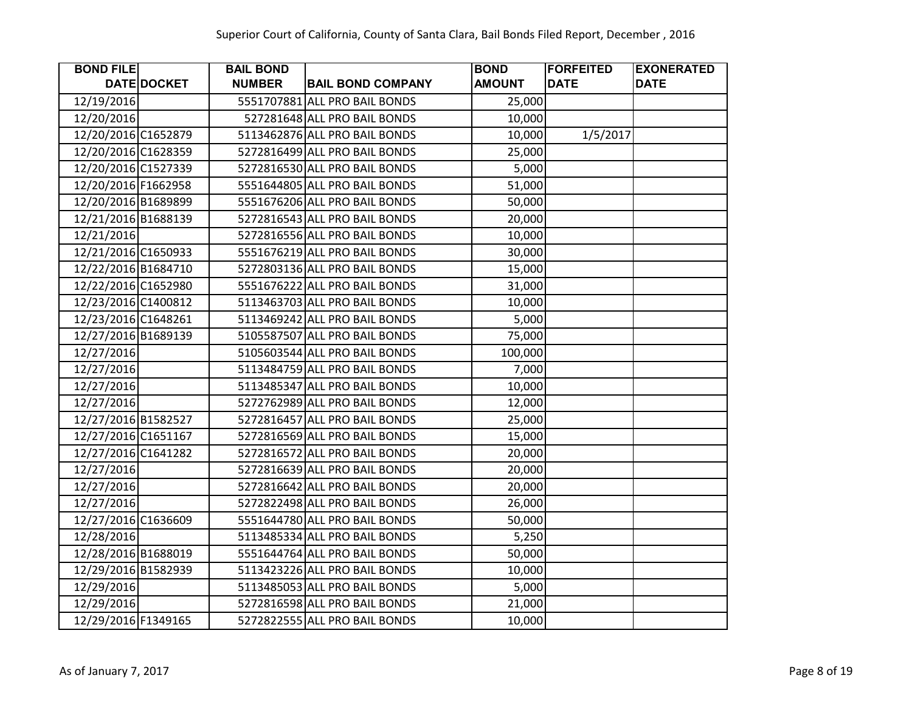| <b>BOND FILE</b>    |             | <b>BAIL BOND</b> |                               | <b>BOND</b>   | <b>FORFEITED</b> | <b>EXONERATED</b> |
|---------------------|-------------|------------------|-------------------------------|---------------|------------------|-------------------|
|                     | DATE DOCKET | <b>NUMBER</b>    | <b>BAIL BOND COMPANY</b>      | <b>AMOUNT</b> | <b>DATE</b>      | <b>DATE</b>       |
| 12/19/2016          |             |                  | 5551707881 ALL PRO BAIL BONDS | 25,000        |                  |                   |
| 12/20/2016          |             |                  | 527281648 ALL PRO BAIL BONDS  | 10,000        |                  |                   |
| 12/20/2016 C1652879 |             |                  | 5113462876 ALL PRO BAIL BONDS | 10,000        | 1/5/2017         |                   |
| 12/20/2016 C1628359 |             |                  | 5272816499 ALL PRO BAIL BONDS | 25,000        |                  |                   |
| 12/20/2016 C1527339 |             |                  | 5272816530 ALL PRO BAIL BONDS | 5,000         |                  |                   |
| 12/20/2016 F1662958 |             |                  | 5551644805 ALL PRO BAIL BONDS | 51,000        |                  |                   |
| 12/20/2016 B1689899 |             |                  | 5551676206 ALL PRO BAIL BONDS | 50,000        |                  |                   |
| 12/21/2016 B1688139 |             |                  | 5272816543 ALL PRO BAIL BONDS | 20,000        |                  |                   |
| 12/21/2016          |             |                  | 5272816556 ALL PRO BAIL BONDS | 10,000        |                  |                   |
| 12/21/2016 C1650933 |             |                  | 5551676219 ALL PRO BAIL BONDS | 30,000        |                  |                   |
| 12/22/2016 B1684710 |             |                  | 5272803136 ALL PRO BAIL BONDS | 15,000        |                  |                   |
| 12/22/2016 C1652980 |             |                  | 5551676222 ALL PRO BAIL BONDS | 31,000        |                  |                   |
| 12/23/2016 C1400812 |             |                  | 5113463703 ALL PRO BAIL BONDS | 10,000        |                  |                   |
| 12/23/2016 C1648261 |             |                  | 5113469242 ALL PRO BAIL BONDS | 5,000         |                  |                   |
| 12/27/2016 B1689139 |             |                  | 5105587507 ALL PRO BAIL BONDS | 75,000        |                  |                   |
| 12/27/2016          |             |                  | 5105603544 ALL PRO BAIL BONDS | 100,000       |                  |                   |
| 12/27/2016          |             |                  | 5113484759 ALL PRO BAIL BONDS | 7,000         |                  |                   |
| 12/27/2016          |             |                  | 5113485347 ALL PRO BAIL BONDS | 10,000        |                  |                   |
| 12/27/2016          |             |                  | 5272762989 ALL PRO BAIL BONDS | 12,000        |                  |                   |
| 12/27/2016 B1582527 |             |                  | 5272816457 ALL PRO BAIL BONDS | 25,000        |                  |                   |
| 12/27/2016 C1651167 |             |                  | 5272816569 ALL PRO BAIL BONDS | 15,000        |                  |                   |
| 12/27/2016 C1641282 |             |                  | 5272816572 ALL PRO BAIL BONDS | 20,000        |                  |                   |
| 12/27/2016          |             |                  | 5272816639 ALL PRO BAIL BONDS | 20,000        |                  |                   |
| 12/27/2016          |             |                  | 5272816642 ALL PRO BAIL BONDS | 20,000        |                  |                   |
| 12/27/2016          |             |                  | 5272822498 ALL PRO BAIL BONDS | 26,000        |                  |                   |
| 12/27/2016 C1636609 |             |                  | 5551644780 ALL PRO BAIL BONDS | 50,000        |                  |                   |
| 12/28/2016          |             |                  | 5113485334 ALL PRO BAIL BONDS | 5,250         |                  |                   |
| 12/28/2016 B1688019 |             |                  | 5551644764 ALL PRO BAIL BONDS | 50,000        |                  |                   |
| 12/29/2016 B1582939 |             |                  | 5113423226 ALL PRO BAIL BONDS | 10,000        |                  |                   |
| 12/29/2016          |             |                  | 5113485053 ALL PRO BAIL BONDS | 5,000         |                  |                   |
| 12/29/2016          |             |                  | 5272816598 ALL PRO BAIL BONDS | 21,000        |                  |                   |
| 12/29/2016 F1349165 |             |                  | 5272822555 ALL PRO BAIL BONDS | 10,000        |                  |                   |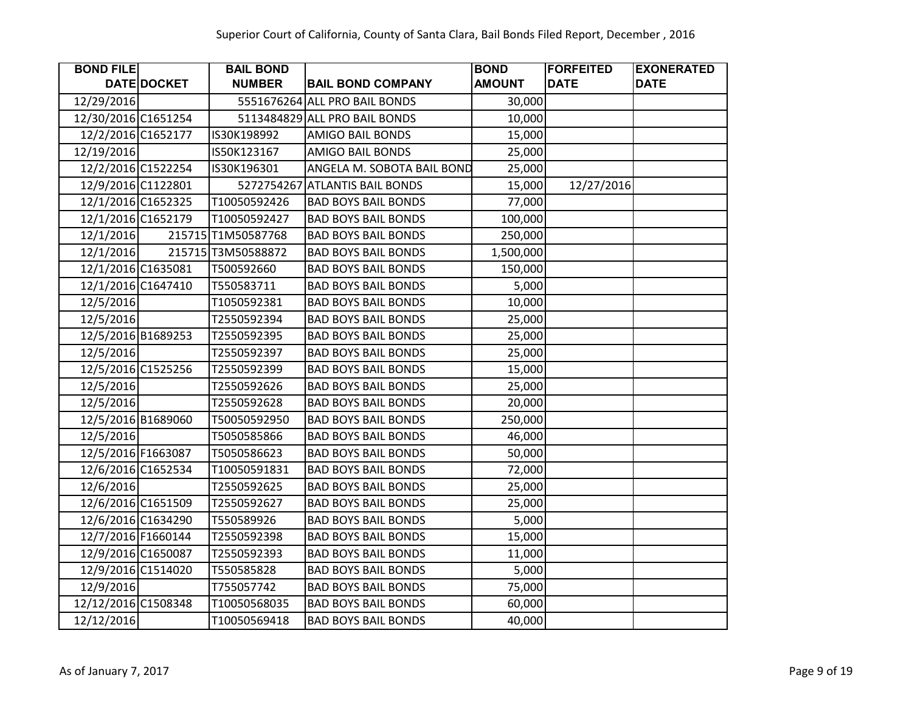| <b>BOND FILE</b>    |                    | <b>BAIL BOND</b>   |                               | <b>BOND</b>   | <b>FORFEITED</b> | <b>EXONERATED</b> |
|---------------------|--------------------|--------------------|-------------------------------|---------------|------------------|-------------------|
|                     | DATE DOCKET        | <b>NUMBER</b>      | <b>BAIL BOND COMPANY</b>      | <b>AMOUNT</b> | <b>DATE</b>      | <b>DATE</b>       |
| 12/29/2016          |                    |                    | 5551676264 ALL PRO BAIL BONDS | 30,000        |                  |                   |
| 12/30/2016 C1651254 |                    |                    | 5113484829 ALL PRO BAIL BONDS | 10,000        |                  |                   |
| 12/2/2016 C1652177  |                    | IS30K198992        | <b>AMIGO BAIL BONDS</b>       | 15,000        |                  |                   |
| 12/19/2016          |                    | IS50K123167        | AMIGO BAIL BONDS              | 25,000        |                  |                   |
|                     | 12/2/2016 C1522254 | IS30K196301        | ANGELA M. SOBOTA BAIL BOND    | 25,000        |                  |                   |
|                     | 12/9/2016 C1122801 | 5272754267         | <b>ATLANTIS BAIL BONDS</b>    | 15,000        | 12/27/2016       |                   |
|                     | 12/1/2016 C1652325 | T10050592426       | <b>BAD BOYS BAIL BONDS</b>    | 77,000        |                  |                   |
|                     | 12/1/2016 C1652179 | T10050592427       | <b>BAD BOYS BAIL BONDS</b>    | 100,000       |                  |                   |
| 12/1/2016           |                    | 215715 T1M50587768 | <b>BAD BOYS BAIL BONDS</b>    | 250,000       |                  |                   |
| 12/1/2016           |                    | 215715 T3M50588872 | <b>BAD BOYS BAIL BONDS</b>    | 1,500,000     |                  |                   |
|                     | 12/1/2016 C1635081 | T500592660         | <b>BAD BOYS BAIL BONDS</b>    | 150,000       |                  |                   |
|                     | 12/1/2016 C1647410 | T550583711         | <b>BAD BOYS BAIL BONDS</b>    | 5,000         |                  |                   |
| 12/5/2016           |                    | T1050592381        | <b>BAD BOYS BAIL BONDS</b>    | 10,000        |                  |                   |
| 12/5/2016           |                    | T2550592394        | <b>BAD BOYS BAIL BONDS</b>    | 25,000        |                  |                   |
|                     | 12/5/2016 B1689253 | T2550592395        | <b>BAD BOYS BAIL BONDS</b>    | 25,000        |                  |                   |
| 12/5/2016           |                    | T2550592397        | <b>BAD BOYS BAIL BONDS</b>    | 25,000        |                  |                   |
|                     | 12/5/2016 C1525256 | T2550592399        | <b>BAD BOYS BAIL BONDS</b>    | 15,000        |                  |                   |
| 12/5/2016           |                    | T2550592626        | <b>BAD BOYS BAIL BONDS</b>    | 25,000        |                  |                   |
| 12/5/2016           |                    | T2550592628        | <b>BAD BOYS BAIL BONDS</b>    | 20,000        |                  |                   |
|                     | 12/5/2016 B1689060 | T50050592950       | <b>BAD BOYS BAIL BONDS</b>    | 250,000       |                  |                   |
| 12/5/2016           |                    | T5050585866        | <b>BAD BOYS BAIL BONDS</b>    | 46,000        |                  |                   |
|                     | 12/5/2016 F1663087 | T5050586623        | <b>BAD BOYS BAIL BONDS</b>    | 50,000        |                  |                   |
|                     | 12/6/2016 C1652534 | T10050591831       | <b>BAD BOYS BAIL BONDS</b>    | 72,000        |                  |                   |
| 12/6/2016           |                    | T2550592625        | <b>BAD BOYS BAIL BONDS</b>    | 25,000        |                  |                   |
|                     | 12/6/2016 C1651509 | T2550592627        | <b>BAD BOYS BAIL BONDS</b>    | 25,000        |                  |                   |
|                     | 12/6/2016 C1634290 | T550589926         | <b>BAD BOYS BAIL BONDS</b>    | 5,000         |                  |                   |
|                     | 12/7/2016 F1660144 | T2550592398        | <b>BAD BOYS BAIL BONDS</b>    | 15,000        |                  |                   |
|                     | 12/9/2016 C1650087 | T2550592393        | <b>BAD BOYS BAIL BONDS</b>    | 11,000        |                  |                   |
|                     | 12/9/2016 C1514020 | T550585828         | <b>BAD BOYS BAIL BONDS</b>    | 5,000         |                  |                   |
| 12/9/2016           |                    | T755057742         | <b>BAD BOYS BAIL BONDS</b>    | 75,000        |                  |                   |
| 12/12/2016 C1508348 |                    | T10050568035       | <b>BAD BOYS BAIL BONDS</b>    | 60,000        |                  |                   |
| 12/12/2016          |                    | T10050569418       | <b>BAD BOYS BAIL BONDS</b>    | 40,000        |                  |                   |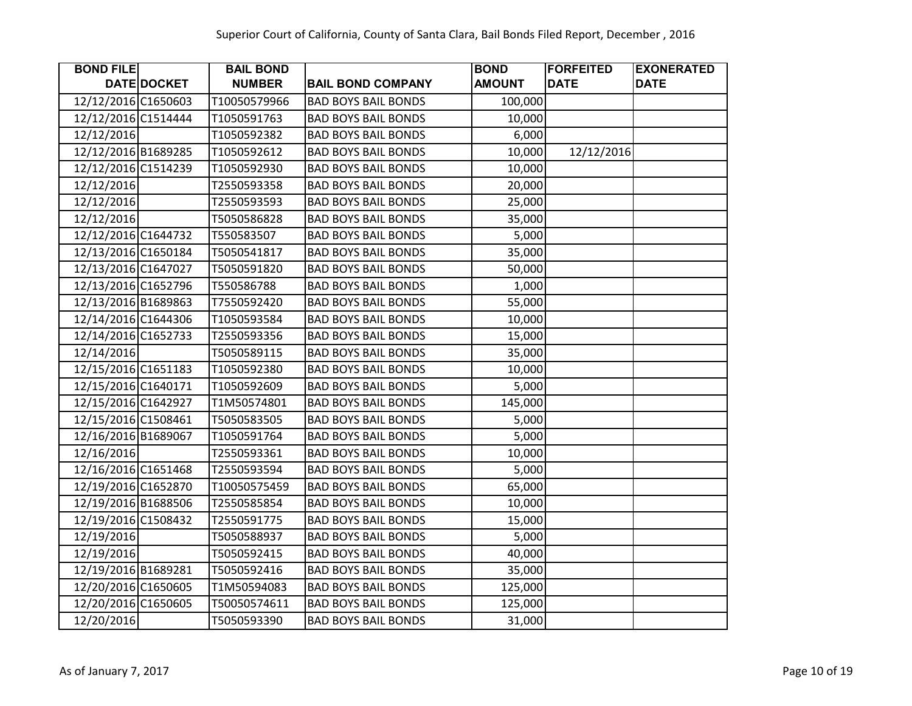| <b>BOND FILE</b>    |             | <b>BAIL BOND</b> |                            | <b>BOND</b>   | <b>FORFEITED</b> | <b>EXONERATED</b> |
|---------------------|-------------|------------------|----------------------------|---------------|------------------|-------------------|
|                     | DATE DOCKET | <b>NUMBER</b>    | <b>BAIL BOND COMPANY</b>   | <b>AMOUNT</b> | <b>DATE</b>      | <b>DATE</b>       |
| 12/12/2016 C1650603 |             | T10050579966     | <b>BAD BOYS BAIL BONDS</b> | 100,000       |                  |                   |
| 12/12/2016 C1514444 |             | T1050591763      | <b>BAD BOYS BAIL BONDS</b> | 10,000        |                  |                   |
| 12/12/2016          |             | T1050592382      | <b>BAD BOYS BAIL BONDS</b> | 6,000         |                  |                   |
| 12/12/2016 B1689285 |             | T1050592612      | <b>BAD BOYS BAIL BONDS</b> | 10,000        | 12/12/2016       |                   |
| 12/12/2016 C1514239 |             | T1050592930      | <b>BAD BOYS BAIL BONDS</b> | 10,000        |                  |                   |
| 12/12/2016          |             | T2550593358      | <b>BAD BOYS BAIL BONDS</b> | 20,000        |                  |                   |
| 12/12/2016          |             | T2550593593      | <b>BAD BOYS BAIL BONDS</b> | 25,000        |                  |                   |
| 12/12/2016          |             | T5050586828      | <b>BAD BOYS BAIL BONDS</b> | 35,000        |                  |                   |
| 12/12/2016 C1644732 |             | T550583507       | <b>BAD BOYS BAIL BONDS</b> | 5,000         |                  |                   |
| 12/13/2016 C1650184 |             | T5050541817      | <b>BAD BOYS BAIL BONDS</b> | 35,000        |                  |                   |
| 12/13/2016 C1647027 |             | T5050591820      | <b>BAD BOYS BAIL BONDS</b> | 50,000        |                  |                   |
| 12/13/2016 C1652796 |             | T550586788       | <b>BAD BOYS BAIL BONDS</b> | 1,000         |                  |                   |
| 12/13/2016 B1689863 |             | T7550592420      | <b>BAD BOYS BAIL BONDS</b> | 55,000        |                  |                   |
| 12/14/2016 C1644306 |             | T1050593584      | <b>BAD BOYS BAIL BONDS</b> | 10,000        |                  |                   |
| 12/14/2016 C1652733 |             | T2550593356      | <b>BAD BOYS BAIL BONDS</b> | 15,000        |                  |                   |
| 12/14/2016          |             | T5050589115      | <b>BAD BOYS BAIL BONDS</b> | 35,000        |                  |                   |
| 12/15/2016 C1651183 |             | T1050592380      | <b>BAD BOYS BAIL BONDS</b> | 10,000        |                  |                   |
| 12/15/2016 C1640171 |             | T1050592609      | <b>BAD BOYS BAIL BONDS</b> | 5,000         |                  |                   |
| 12/15/2016 C1642927 |             | T1M50574801      | <b>BAD BOYS BAIL BONDS</b> | 145,000       |                  |                   |
| 12/15/2016 C1508461 |             | T5050583505      | <b>BAD BOYS BAIL BONDS</b> | 5,000         |                  |                   |
| 12/16/2016 B1689067 |             | T1050591764      | <b>BAD BOYS BAIL BONDS</b> | 5,000         |                  |                   |
| 12/16/2016          |             | T2550593361      | <b>BAD BOYS BAIL BONDS</b> | 10,000        |                  |                   |
| 12/16/2016 C1651468 |             | T2550593594      | <b>BAD BOYS BAIL BONDS</b> | 5,000         |                  |                   |
| 12/19/2016 C1652870 |             | T10050575459     | <b>BAD BOYS BAIL BONDS</b> | 65,000        |                  |                   |
| 12/19/2016 B1688506 |             | T2550585854      | <b>BAD BOYS BAIL BONDS</b> | 10,000        |                  |                   |
| 12/19/2016 C1508432 |             | T2550591775      | <b>BAD BOYS BAIL BONDS</b> | 15,000        |                  |                   |
| 12/19/2016          |             | T5050588937      | <b>BAD BOYS BAIL BONDS</b> | 5,000         |                  |                   |
| 12/19/2016          |             | T5050592415      | <b>BAD BOYS BAIL BONDS</b> | 40,000        |                  |                   |
| 12/19/2016 B1689281 |             | T5050592416      | <b>BAD BOYS BAIL BONDS</b> | 35,000        |                  |                   |
| 12/20/2016 C1650605 |             | T1M50594083      | <b>BAD BOYS BAIL BONDS</b> | 125,000       |                  |                   |
| 12/20/2016 C1650605 |             | T50050574611     | <b>BAD BOYS BAIL BONDS</b> | 125,000       |                  |                   |
| 12/20/2016          |             | T5050593390      | <b>BAD BOYS BAIL BONDS</b> | 31,000        |                  |                   |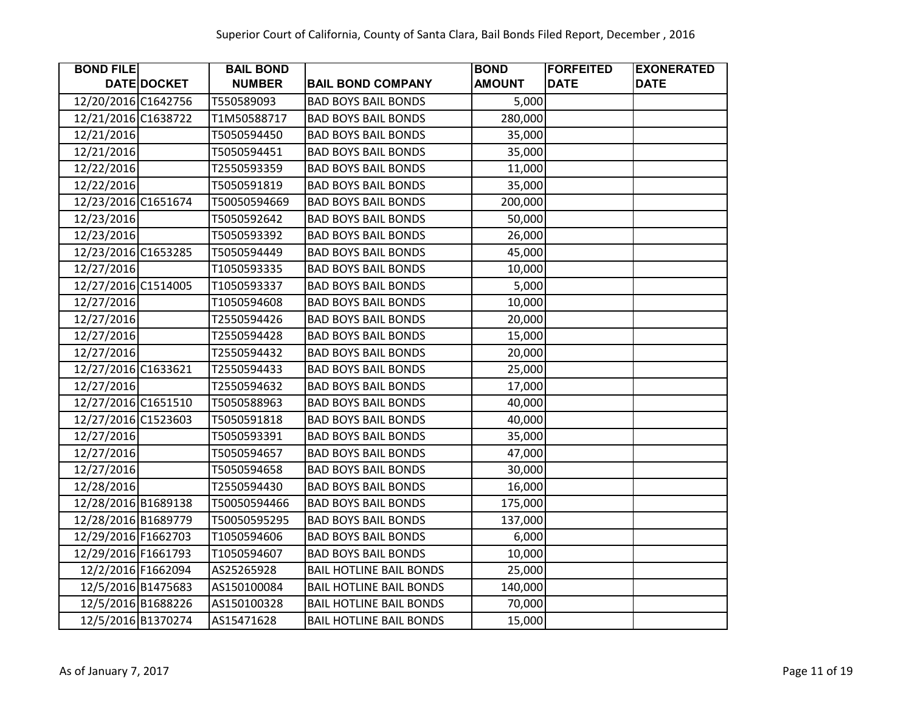| <b>BOND FILE</b>    |                    | <b>BAIL BOND</b> |                                | <b>BOND</b>   | <b>FORFEITED</b> | <b>EXONERATED</b> |
|---------------------|--------------------|------------------|--------------------------------|---------------|------------------|-------------------|
|                     | DATE DOCKET        | <b>NUMBER</b>    | <b>BAIL BOND COMPANY</b>       | <b>AMOUNT</b> | <b>DATE</b>      | <b>DATE</b>       |
| 12/20/2016 C1642756 |                    | T550589093       | <b>BAD BOYS BAIL BONDS</b>     | 5,000         |                  |                   |
| 12/21/2016 C1638722 |                    | T1M50588717      | <b>BAD BOYS BAIL BONDS</b>     | 280,000       |                  |                   |
| 12/21/2016          |                    | T5050594450      | <b>BAD BOYS BAIL BONDS</b>     | 35,000        |                  |                   |
| 12/21/2016          |                    | T5050594451      | <b>BAD BOYS BAIL BONDS</b>     | 35,000        |                  |                   |
| 12/22/2016          |                    | T2550593359      | <b>BAD BOYS BAIL BONDS</b>     | 11,000        |                  |                   |
| 12/22/2016          |                    | T5050591819      | <b>BAD BOYS BAIL BONDS</b>     | 35,000        |                  |                   |
| 12/23/2016 C1651674 |                    | T50050594669     | <b>BAD BOYS BAIL BONDS</b>     | 200,000       |                  |                   |
| 12/23/2016          |                    | T5050592642      | <b>BAD BOYS BAIL BONDS</b>     | 50,000        |                  |                   |
| 12/23/2016          |                    | T5050593392      | <b>BAD BOYS BAIL BONDS</b>     | 26,000        |                  |                   |
| 12/23/2016 C1653285 |                    | T5050594449      | <b>BAD BOYS BAIL BONDS</b>     | 45,000        |                  |                   |
| 12/27/2016          |                    | T1050593335      | <b>BAD BOYS BAIL BONDS</b>     | 10,000        |                  |                   |
| 12/27/2016 C1514005 |                    | T1050593337      | <b>BAD BOYS BAIL BONDS</b>     | 5,000         |                  |                   |
| 12/27/2016          |                    | T1050594608      | <b>BAD BOYS BAIL BONDS</b>     | 10,000        |                  |                   |
| 12/27/2016          |                    | T2550594426      | <b>BAD BOYS BAIL BONDS</b>     | 20,000        |                  |                   |
| 12/27/2016          |                    | T2550594428      | <b>BAD BOYS BAIL BONDS</b>     | 15,000        |                  |                   |
| 12/27/2016          |                    | T2550594432      | <b>BAD BOYS BAIL BONDS</b>     | 20,000        |                  |                   |
| 12/27/2016 C1633621 |                    | T2550594433      | <b>BAD BOYS BAIL BONDS</b>     | 25,000        |                  |                   |
| 12/27/2016          |                    | T2550594632      | <b>BAD BOYS BAIL BONDS</b>     | 17,000        |                  |                   |
| 12/27/2016 C1651510 |                    | T5050588963      | <b>BAD BOYS BAIL BONDS</b>     | 40,000        |                  |                   |
| 12/27/2016 C1523603 |                    | T5050591818      | <b>BAD BOYS BAIL BONDS</b>     | 40,000        |                  |                   |
| 12/27/2016          |                    | T5050593391      | <b>BAD BOYS BAIL BONDS</b>     | 35,000        |                  |                   |
| 12/27/2016          |                    | T5050594657      | <b>BAD BOYS BAIL BONDS</b>     | 47,000        |                  |                   |
| 12/27/2016          |                    | T5050594658      | <b>BAD BOYS BAIL BONDS</b>     | 30,000        |                  |                   |
| 12/28/2016          |                    | T2550594430      | <b>BAD BOYS BAIL BONDS</b>     | 16,000        |                  |                   |
| 12/28/2016 B1689138 |                    | T50050594466     | <b>BAD BOYS BAIL BONDS</b>     | 175,000       |                  |                   |
| 12/28/2016 B1689779 |                    | T50050595295     | <b>BAD BOYS BAIL BONDS</b>     | 137,000       |                  |                   |
| 12/29/2016 F1662703 |                    | T1050594606      | <b>BAD BOYS BAIL BONDS</b>     | 6,000         |                  |                   |
| 12/29/2016 F1661793 |                    | T1050594607      | <b>BAD BOYS BAIL BONDS</b>     | 10,000        |                  |                   |
|                     | 12/2/2016 F1662094 | AS25265928       | <b>BAIL HOTLINE BAIL BONDS</b> | 25,000        |                  |                   |
|                     | 12/5/2016 B1475683 | AS150100084      | <b>BAIL HOTLINE BAIL BONDS</b> | 140,000       |                  |                   |
|                     | 12/5/2016 B1688226 | AS150100328      | <b>BAIL HOTLINE BAIL BONDS</b> | 70,000        |                  |                   |
|                     | 12/5/2016 B1370274 | AS15471628       | <b>BAIL HOTLINE BAIL BONDS</b> | 15,000        |                  |                   |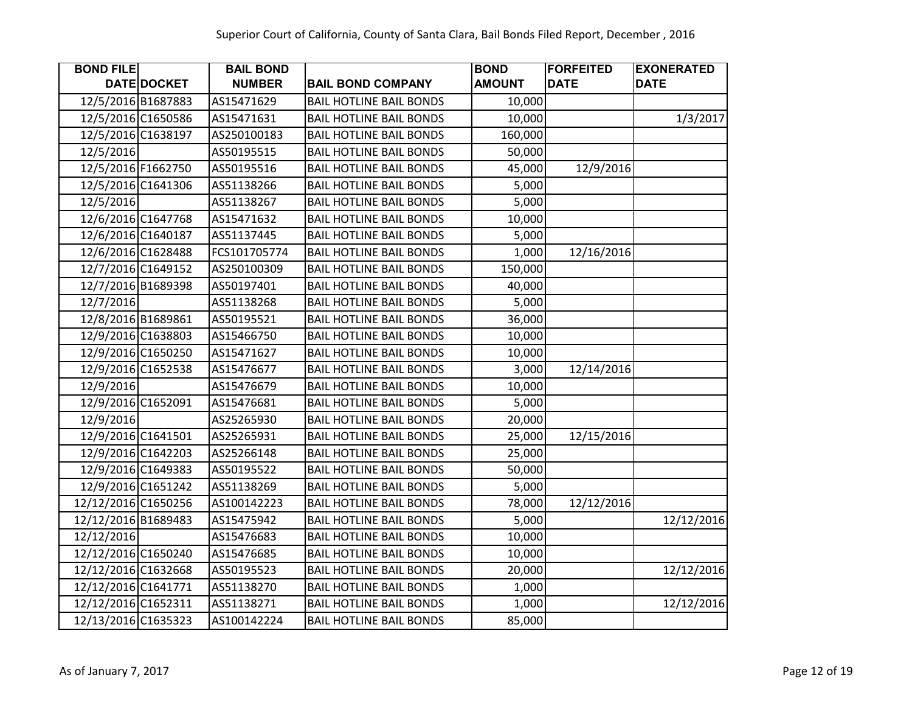| <b>BOND FILE</b>    |                    | <b>BAIL BOND</b> |                                | <b>BOND</b>   | <b>FORFEITED</b> | <b>EXONERATED</b> |
|---------------------|--------------------|------------------|--------------------------------|---------------|------------------|-------------------|
|                     | DATE DOCKET        | <b>NUMBER</b>    | <b>BAIL BOND COMPANY</b>       | <b>AMOUNT</b> | <b>DATE</b>      | <b>DATE</b>       |
|                     | 12/5/2016 B1687883 | AS15471629       | <b>BAIL HOTLINE BAIL BONDS</b> | 10,000        |                  |                   |
|                     | 12/5/2016 C1650586 | AS15471631       | <b>BAIL HOTLINE BAIL BONDS</b> | 10,000        |                  | 1/3/2017          |
|                     | 12/5/2016 C1638197 | AS250100183      | <b>BAIL HOTLINE BAIL BONDS</b> | 160,000       |                  |                   |
| 12/5/2016           |                    | AS50195515       | <b>BAIL HOTLINE BAIL BONDS</b> | 50,000        |                  |                   |
|                     | 12/5/2016 F1662750 | AS50195516       | <b>BAIL HOTLINE BAIL BONDS</b> | 45,000        | 12/9/2016        |                   |
|                     | 12/5/2016 C1641306 | AS51138266       | <b>BAIL HOTLINE BAIL BONDS</b> | 5,000         |                  |                   |
| 12/5/2016           |                    | AS51138267       | <b>BAIL HOTLINE BAIL BONDS</b> | 5,000         |                  |                   |
|                     | 12/6/2016 C1647768 | AS15471632       | <b>BAIL HOTLINE BAIL BONDS</b> | 10,000        |                  |                   |
|                     | 12/6/2016 C1640187 | AS51137445       | <b>BAIL HOTLINE BAIL BONDS</b> | 5,000         |                  |                   |
|                     | 12/6/2016 C1628488 | FCS101705774     | <b>BAIL HOTLINE BAIL BONDS</b> | 1,000         | 12/16/2016       |                   |
|                     | 12/7/2016 C1649152 | AS250100309      | <b>BAIL HOTLINE BAIL BONDS</b> | 150,000       |                  |                   |
|                     | 12/7/2016 B1689398 | AS50197401       | <b>BAIL HOTLINE BAIL BONDS</b> | 40,000        |                  |                   |
| 12/7/2016           |                    | AS51138268       | <b>BAIL HOTLINE BAIL BONDS</b> | 5,000         |                  |                   |
|                     | 12/8/2016 B1689861 | AS50195521       | <b>BAIL HOTLINE BAIL BONDS</b> | 36,000        |                  |                   |
|                     | 12/9/2016 C1638803 | AS15466750       | <b>BAIL HOTLINE BAIL BONDS</b> | 10,000        |                  |                   |
|                     | 12/9/2016 C1650250 | AS15471627       | <b>BAIL HOTLINE BAIL BONDS</b> | 10,000        |                  |                   |
|                     | 12/9/2016 C1652538 | AS15476677       | <b>BAIL HOTLINE BAIL BONDS</b> | 3,000         | 12/14/2016       |                   |
| 12/9/2016           |                    | AS15476679       | <b>BAIL HOTLINE BAIL BONDS</b> | 10,000        |                  |                   |
|                     | 12/9/2016 C1652091 | AS15476681       | <b>BAIL HOTLINE BAIL BONDS</b> | 5,000         |                  |                   |
| 12/9/2016           |                    | AS25265930       | <b>BAIL HOTLINE BAIL BONDS</b> | 20,000        |                  |                   |
|                     | 12/9/2016 C1641501 | AS25265931       | <b>BAIL HOTLINE BAIL BONDS</b> | 25,000        | 12/15/2016       |                   |
|                     | 12/9/2016 C1642203 | AS25266148       | <b>BAIL HOTLINE BAIL BONDS</b> | 25,000        |                  |                   |
|                     | 12/9/2016 C1649383 | AS50195522       | <b>BAIL HOTLINE BAIL BONDS</b> | 50,000        |                  |                   |
|                     | 12/9/2016 C1651242 | AS51138269       | <b>BAIL HOTLINE BAIL BONDS</b> | 5,000         |                  |                   |
| 12/12/2016 C1650256 |                    | AS100142223      | <b>BAIL HOTLINE BAIL BONDS</b> | 78,000        | 12/12/2016       |                   |
| 12/12/2016 B1689483 |                    | AS15475942       | <b>BAIL HOTLINE BAIL BONDS</b> | 5,000         |                  | 12/12/2016        |
| 12/12/2016          |                    | AS15476683       | <b>BAIL HOTLINE BAIL BONDS</b> | 10,000        |                  |                   |
| 12/12/2016 C1650240 |                    | AS15476685       | <b>BAIL HOTLINE BAIL BONDS</b> | 10,000        |                  |                   |
| 12/12/2016 C1632668 |                    | AS50195523       | <b>BAIL HOTLINE BAIL BONDS</b> | 20,000        |                  | 12/12/2016        |
| 12/12/2016 C1641771 |                    | AS51138270       | <b>BAIL HOTLINE BAIL BONDS</b> | 1,000         |                  |                   |
| 12/12/2016 C1652311 |                    | AS51138271       | <b>BAIL HOTLINE BAIL BONDS</b> | 1,000         |                  | 12/12/2016        |
| 12/13/2016 C1635323 |                    | AS100142224      | <b>BAIL HOTLINE BAIL BONDS</b> | 85,000        |                  |                   |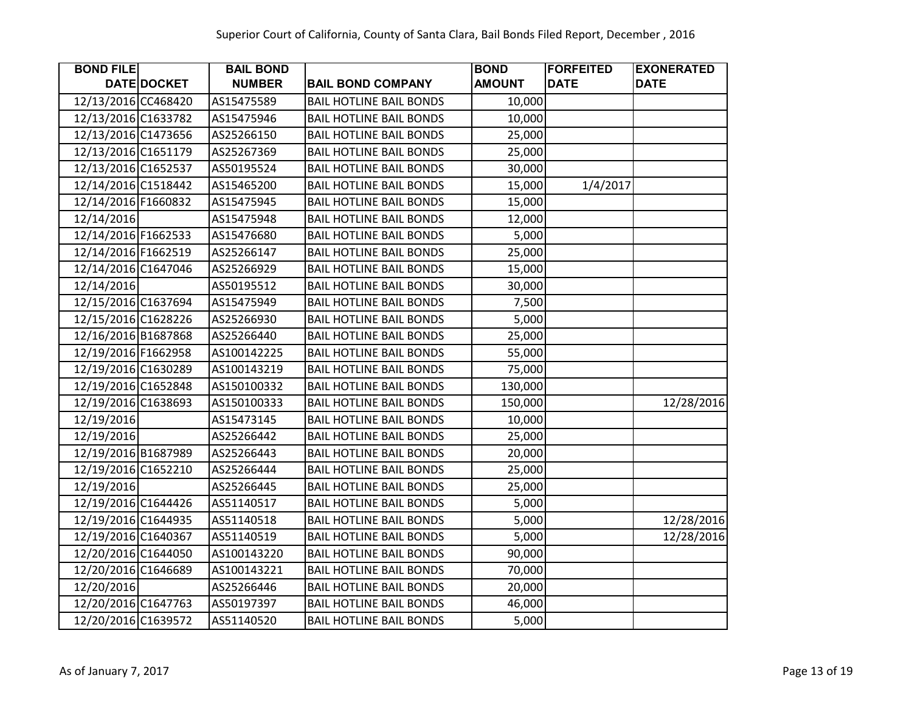| <b>BOND FILE</b>    |             | <b>BAIL BOND</b> |                                | <b>BOND</b>   | <b>FORFEITED</b> | <b>EXONERATED</b> |
|---------------------|-------------|------------------|--------------------------------|---------------|------------------|-------------------|
|                     | DATE DOCKET | <b>NUMBER</b>    | <b>BAIL BOND COMPANY</b>       | <b>AMOUNT</b> | <b>DATE</b>      | <b>DATE</b>       |
| 12/13/2016 CC468420 |             | AS15475589       | <b>BAIL HOTLINE BAIL BONDS</b> | 10,000        |                  |                   |
| 12/13/2016 C1633782 |             | AS15475946       | <b>BAIL HOTLINE BAIL BONDS</b> | 10,000        |                  |                   |
| 12/13/2016 C1473656 |             | AS25266150       | <b>BAIL HOTLINE BAIL BONDS</b> | 25,000        |                  |                   |
| 12/13/2016 C1651179 |             | AS25267369       | <b>BAIL HOTLINE BAIL BONDS</b> | 25,000        |                  |                   |
| 12/13/2016 C1652537 |             | AS50195524       | <b>BAIL HOTLINE BAIL BONDS</b> | 30,000        |                  |                   |
| 12/14/2016 C1518442 |             | AS15465200       | <b>BAIL HOTLINE BAIL BONDS</b> | 15,000        | 1/4/2017         |                   |
| 12/14/2016 F1660832 |             | AS15475945       | <b>BAIL HOTLINE BAIL BONDS</b> | 15,000        |                  |                   |
| 12/14/2016          |             | AS15475948       | <b>BAIL HOTLINE BAIL BONDS</b> | 12,000        |                  |                   |
| 12/14/2016 F1662533 |             | AS15476680       | <b>BAIL HOTLINE BAIL BONDS</b> | 5,000         |                  |                   |
| 12/14/2016 F1662519 |             | AS25266147       | <b>BAIL HOTLINE BAIL BONDS</b> | 25,000        |                  |                   |
| 12/14/2016 C1647046 |             | AS25266929       | <b>BAIL HOTLINE BAIL BONDS</b> | 15,000        |                  |                   |
| 12/14/2016          |             | AS50195512       | <b>BAIL HOTLINE BAIL BONDS</b> | 30,000        |                  |                   |
| 12/15/2016 C1637694 |             | AS15475949       | <b>BAIL HOTLINE BAIL BONDS</b> | 7,500         |                  |                   |
| 12/15/2016 C1628226 |             | AS25266930       | <b>BAIL HOTLINE BAIL BONDS</b> | 5,000         |                  |                   |
| 12/16/2016 B1687868 |             | AS25266440       | <b>BAIL HOTLINE BAIL BONDS</b> | 25,000        |                  |                   |
| 12/19/2016 F1662958 |             | AS100142225      | <b>BAIL HOTLINE BAIL BONDS</b> | 55,000        |                  |                   |
| 12/19/2016 C1630289 |             | AS100143219      | <b>BAIL HOTLINE BAIL BONDS</b> | 75,000        |                  |                   |
| 12/19/2016 C1652848 |             | AS150100332      | <b>BAIL HOTLINE BAIL BONDS</b> | 130,000       |                  |                   |
| 12/19/2016 C1638693 |             | AS150100333      | <b>BAIL HOTLINE BAIL BONDS</b> | 150,000       |                  | 12/28/2016        |
| 12/19/2016          |             | AS15473145       | <b>BAIL HOTLINE BAIL BONDS</b> | 10,000        |                  |                   |
| 12/19/2016          |             | AS25266442       | <b>BAIL HOTLINE BAIL BONDS</b> | 25,000        |                  |                   |
| 12/19/2016 B1687989 |             | AS25266443       | <b>BAIL HOTLINE BAIL BONDS</b> | 20,000        |                  |                   |
| 12/19/2016 C1652210 |             | AS25266444       | <b>BAIL HOTLINE BAIL BONDS</b> | 25,000        |                  |                   |
| 12/19/2016          |             | AS25266445       | <b>BAIL HOTLINE BAIL BONDS</b> | 25,000        |                  |                   |
| 12/19/2016 C1644426 |             | AS51140517       | <b>BAIL HOTLINE BAIL BONDS</b> | 5,000         |                  |                   |
| 12/19/2016 C1644935 |             | AS51140518       | <b>BAIL HOTLINE BAIL BONDS</b> | 5,000         |                  | 12/28/2016        |
| 12/19/2016 C1640367 |             | AS51140519       | <b>BAIL HOTLINE BAIL BONDS</b> | 5,000         |                  | 12/28/2016        |
| 12/20/2016 C1644050 |             | AS100143220      | <b>BAIL HOTLINE BAIL BONDS</b> | 90,000        |                  |                   |
| 12/20/2016 C1646689 |             | AS100143221      | <b>BAIL HOTLINE BAIL BONDS</b> | 70,000        |                  |                   |
| 12/20/2016          |             | AS25266446       | <b>BAIL HOTLINE BAIL BONDS</b> | 20,000        |                  |                   |
| 12/20/2016 C1647763 |             | AS50197397       | <b>BAIL HOTLINE BAIL BONDS</b> | 46,000        |                  |                   |
| 12/20/2016 C1639572 |             | AS51140520       | <b>BAIL HOTLINE BAIL BONDS</b> | 5,000         |                  |                   |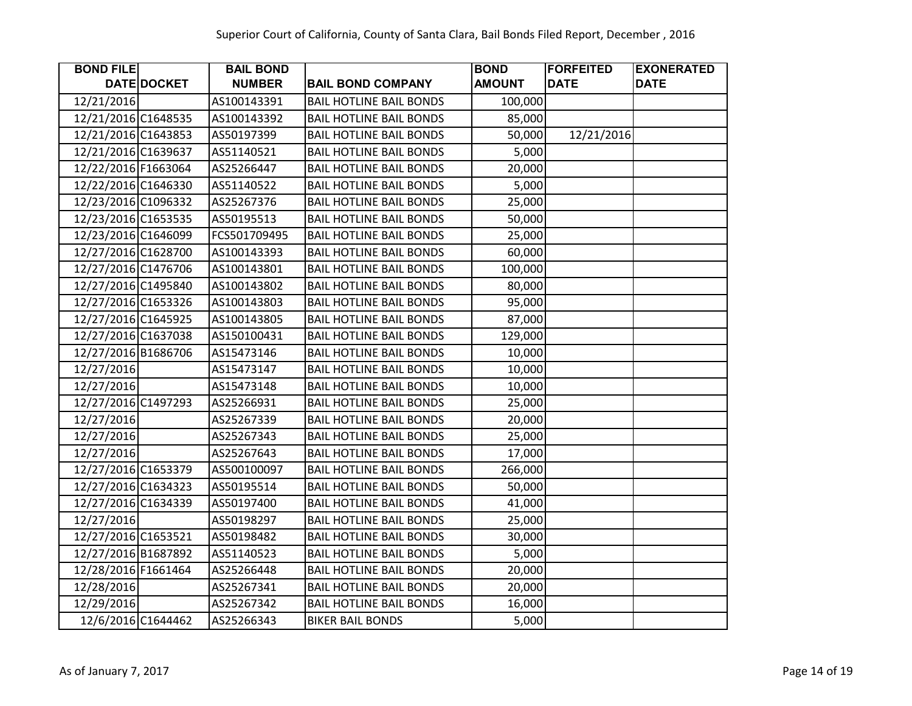| <b>BOND FILE</b>    |                    | <b>BAIL BOND</b> |                                | <b>BOND</b>   | <b>FORFEITED</b> | <b>EXONERATED</b> |
|---------------------|--------------------|------------------|--------------------------------|---------------|------------------|-------------------|
|                     | DATE DOCKET        | <b>NUMBER</b>    | <b>BAIL BOND COMPANY</b>       | <b>AMOUNT</b> | <b>DATE</b>      | <b>DATE</b>       |
| 12/21/2016          |                    | AS100143391      | <b>BAIL HOTLINE BAIL BONDS</b> | 100,000       |                  |                   |
| 12/21/2016 C1648535 |                    | AS100143392      | <b>BAIL HOTLINE BAIL BONDS</b> | 85,000        |                  |                   |
| 12/21/2016 C1643853 |                    | AS50197399       | <b>BAIL HOTLINE BAIL BONDS</b> | 50,000        | 12/21/2016       |                   |
| 12/21/2016 C1639637 |                    | AS51140521       | <b>BAIL HOTLINE BAIL BONDS</b> | 5,000         |                  |                   |
| 12/22/2016 F1663064 |                    | AS25266447       | <b>BAIL HOTLINE BAIL BONDS</b> | 20,000        |                  |                   |
| 12/22/2016 C1646330 |                    | AS51140522       | <b>BAIL HOTLINE BAIL BONDS</b> | 5,000         |                  |                   |
| 12/23/2016 C1096332 |                    | AS25267376       | <b>BAIL HOTLINE BAIL BONDS</b> | 25,000        |                  |                   |
| 12/23/2016 C1653535 |                    | AS50195513       | <b>BAIL HOTLINE BAIL BONDS</b> | 50,000        |                  |                   |
| 12/23/2016 C1646099 |                    | FCS501709495     | <b>BAIL HOTLINE BAIL BONDS</b> | 25,000        |                  |                   |
| 12/27/2016 C1628700 |                    | AS100143393      | <b>BAIL HOTLINE BAIL BONDS</b> | 60,000        |                  |                   |
| 12/27/2016 C1476706 |                    | AS100143801      | <b>BAIL HOTLINE BAIL BONDS</b> | 100,000       |                  |                   |
| 12/27/2016 C1495840 |                    | AS100143802      | <b>BAIL HOTLINE BAIL BONDS</b> | 80,000        |                  |                   |
| 12/27/2016 C1653326 |                    | AS100143803      | <b>BAIL HOTLINE BAIL BONDS</b> | 95,000        |                  |                   |
| 12/27/2016 C1645925 |                    | AS100143805      | <b>BAIL HOTLINE BAIL BONDS</b> | 87,000        |                  |                   |
| 12/27/2016 C1637038 |                    | AS150100431      | <b>BAIL HOTLINE BAIL BONDS</b> | 129,000       |                  |                   |
| 12/27/2016 B1686706 |                    | AS15473146       | <b>BAIL HOTLINE BAIL BONDS</b> | 10,000        |                  |                   |
| 12/27/2016          |                    | AS15473147       | <b>BAIL HOTLINE BAIL BONDS</b> | 10,000        |                  |                   |
| 12/27/2016          |                    | AS15473148       | <b>BAIL HOTLINE BAIL BONDS</b> | 10,000        |                  |                   |
| 12/27/2016 C1497293 |                    | AS25266931       | <b>BAIL HOTLINE BAIL BONDS</b> | 25,000        |                  |                   |
| 12/27/2016          |                    | AS25267339       | <b>BAIL HOTLINE BAIL BONDS</b> | 20,000        |                  |                   |
| 12/27/2016          |                    | AS25267343       | <b>BAIL HOTLINE BAIL BONDS</b> | 25,000        |                  |                   |
| 12/27/2016          |                    | AS25267643       | <b>BAIL HOTLINE BAIL BONDS</b> | 17,000        |                  |                   |
| 12/27/2016 C1653379 |                    | AS500100097      | <b>BAIL HOTLINE BAIL BONDS</b> | 266,000       |                  |                   |
| 12/27/2016 C1634323 |                    | AS50195514       | <b>BAIL HOTLINE BAIL BONDS</b> | 50,000        |                  |                   |
| 12/27/2016 C1634339 |                    | AS50197400       | <b>BAIL HOTLINE BAIL BONDS</b> | 41,000        |                  |                   |
| 12/27/2016          |                    | AS50198297       | <b>BAIL HOTLINE BAIL BONDS</b> | 25,000        |                  |                   |
| 12/27/2016 C1653521 |                    | AS50198482       | <b>BAIL HOTLINE BAIL BONDS</b> | 30,000        |                  |                   |
| 12/27/2016 B1687892 |                    | AS51140523       | <b>BAIL HOTLINE BAIL BONDS</b> | 5,000         |                  |                   |
| 12/28/2016 F1661464 |                    | AS25266448       | <b>BAIL HOTLINE BAIL BONDS</b> | 20,000        |                  |                   |
| 12/28/2016          |                    | AS25267341       | <b>BAIL HOTLINE BAIL BONDS</b> | 20,000        |                  |                   |
| 12/29/2016          |                    | AS25267342       | <b>BAIL HOTLINE BAIL BONDS</b> | 16,000        |                  |                   |
|                     | 12/6/2016 C1644462 | AS25266343       | <b>BIKER BAIL BONDS</b>        | 5,000         |                  |                   |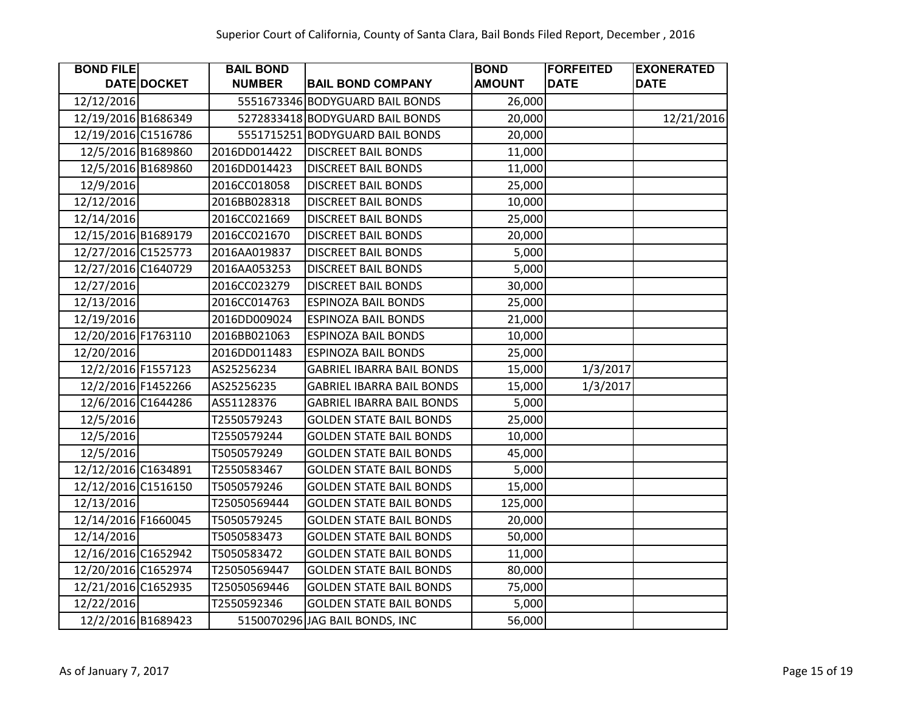| <b>BOND FILE</b>    |                    | <b>BAIL BOND</b> |                                  | <b>BOND</b>   | <b>FORFEITED</b> | <b>EXONERATED</b> |
|---------------------|--------------------|------------------|----------------------------------|---------------|------------------|-------------------|
|                     | DATE DOCKET        | <b>NUMBER</b>    | <b>BAIL BOND COMPANY</b>         | <b>AMOUNT</b> | <b>DATE</b>      | <b>DATE</b>       |
| 12/12/2016          |                    |                  | 5551673346 BODYGUARD BAIL BONDS  | 26,000        |                  |                   |
| 12/19/2016 B1686349 |                    |                  | 5272833418 BODYGUARD BAIL BONDS  | 20,000        |                  | 12/21/2016        |
| 12/19/2016 C1516786 |                    |                  | 5551715251 BODYGUARD BAIL BONDS  | 20,000        |                  |                   |
|                     | 12/5/2016 B1689860 | 2016DD014422     | <b>DISCREET BAIL BONDS</b>       | 11,000        |                  |                   |
|                     | 12/5/2016 B1689860 | 2016DD014423     | <b>DISCREET BAIL BONDS</b>       | 11,000        |                  |                   |
| 12/9/2016           |                    | 2016CC018058     | <b>DISCREET BAIL BONDS</b>       | 25,000        |                  |                   |
| 12/12/2016          |                    | 2016BB028318     | <b>DISCREET BAIL BONDS</b>       | 10,000        |                  |                   |
| 12/14/2016          |                    | 2016CC021669     | <b>DISCREET BAIL BONDS</b>       | 25,000        |                  |                   |
| 12/15/2016 B1689179 |                    | 2016CC021670     | <b>DISCREET BAIL BONDS</b>       | 20,000        |                  |                   |
| 12/27/2016 C1525773 |                    | 2016AA019837     | <b>DISCREET BAIL BONDS</b>       | 5,000         |                  |                   |
| 12/27/2016 C1640729 |                    | 2016AA053253     | <b>DISCREET BAIL BONDS</b>       | 5,000         |                  |                   |
| 12/27/2016          |                    | 2016CC023279     | <b>DISCREET BAIL BONDS</b>       | 30,000        |                  |                   |
| 12/13/2016          |                    | 2016CC014763     | <b>ESPINOZA BAIL BONDS</b>       | 25,000        |                  |                   |
| 12/19/2016          |                    | 2016DD009024     | <b>ESPINOZA BAIL BONDS</b>       | 21,000        |                  |                   |
| 12/20/2016 F1763110 |                    | 2016BB021063     | <b>ESPINOZA BAIL BONDS</b>       | 10,000        |                  |                   |
| 12/20/2016          |                    | 2016DD011483     | <b>ESPINOZA BAIL BONDS</b>       | 25,000        |                  |                   |
|                     | 12/2/2016 F1557123 | AS25256234       | <b>GABRIEL IBARRA BAIL BONDS</b> | 15,000        | 1/3/2017         |                   |
|                     | 12/2/2016 F1452266 | AS25256235       | <b>GABRIEL IBARRA BAIL BONDS</b> | 15,000        | 1/3/2017         |                   |
|                     | 12/6/2016 C1644286 | AS51128376       | <b>GABRIEL IBARRA BAIL BONDS</b> | 5,000         |                  |                   |
| 12/5/2016           |                    | T2550579243      | <b>GOLDEN STATE BAIL BONDS</b>   | 25,000        |                  |                   |
| 12/5/2016           |                    | T2550579244      | <b>GOLDEN STATE BAIL BONDS</b>   | 10,000        |                  |                   |
| 12/5/2016           |                    | T5050579249      | <b>GOLDEN STATE BAIL BONDS</b>   | 45,000        |                  |                   |
| 12/12/2016 C1634891 |                    | T2550583467      | <b>GOLDEN STATE BAIL BONDS</b>   | 5,000         |                  |                   |
| 12/12/2016 C1516150 |                    | T5050579246      | <b>GOLDEN STATE BAIL BONDS</b>   | 15,000        |                  |                   |
| 12/13/2016          |                    | T25050569444     | <b>GOLDEN STATE BAIL BONDS</b>   | 125,000       |                  |                   |
| 12/14/2016 F1660045 |                    | T5050579245      | <b>GOLDEN STATE BAIL BONDS</b>   | 20,000        |                  |                   |
| 12/14/2016          |                    | T5050583473      | <b>GOLDEN STATE BAIL BONDS</b>   | 50,000        |                  |                   |
| 12/16/2016 C1652942 |                    | T5050583472      | <b>GOLDEN STATE BAIL BONDS</b>   | 11,000        |                  |                   |
| 12/20/2016 C1652974 |                    | T25050569447     | <b>GOLDEN STATE BAIL BONDS</b>   | 80,000        |                  |                   |
| 12/21/2016 C1652935 |                    | T25050569446     | <b>GOLDEN STATE BAIL BONDS</b>   | 75,000        |                  |                   |
| 12/22/2016          |                    | T2550592346      | <b>GOLDEN STATE BAIL BONDS</b>   | 5,000         |                  |                   |
|                     | 12/2/2016 B1689423 |                  | 5150070296 JAG BAIL BONDS, INC   | 56,000        |                  |                   |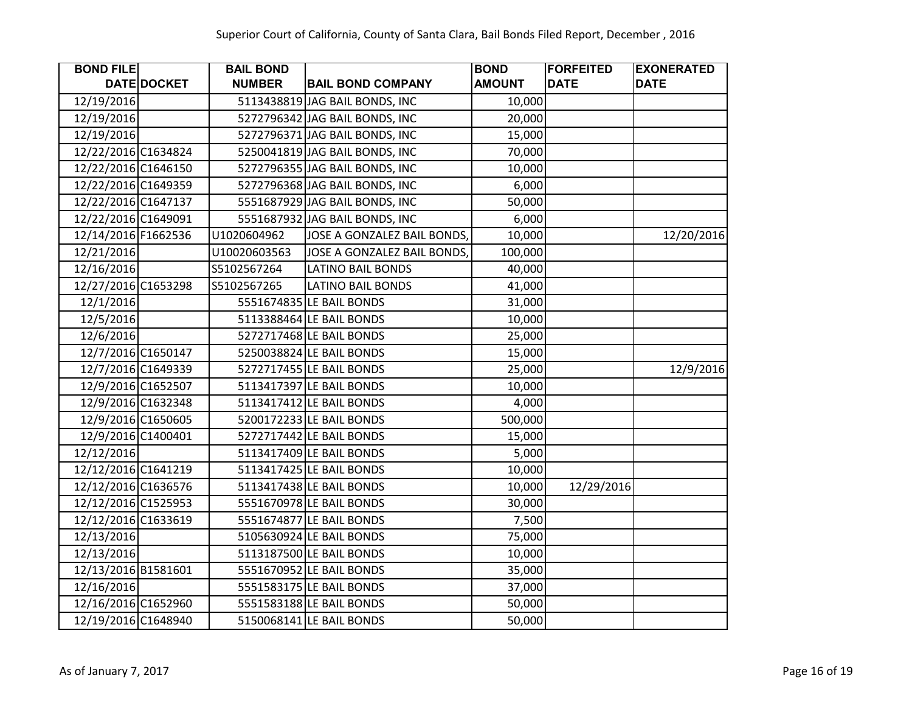| <b>BOND FILE</b>    |                    | <b>BAIL BOND</b> |                                | <b>BOND</b>   | <b>FORFEITED</b> | <b>EXONERATED</b> |
|---------------------|--------------------|------------------|--------------------------------|---------------|------------------|-------------------|
|                     | DATE DOCKET        | <b>NUMBER</b>    | <b>BAIL BOND COMPANY</b>       | <b>AMOUNT</b> | <b>DATE</b>      | <b>DATE</b>       |
| 12/19/2016          |                    |                  | 5113438819 JAG BAIL BONDS, INC | 10,000        |                  |                   |
| 12/19/2016          |                    |                  | 5272796342 JAG BAIL BONDS, INC | 20,000        |                  |                   |
| 12/19/2016          |                    |                  | 5272796371 JAG BAIL BONDS, INC | 15,000        |                  |                   |
| 12/22/2016 C1634824 |                    |                  | 5250041819 JAG BAIL BONDS, INC | 70,000        |                  |                   |
| 12/22/2016 C1646150 |                    |                  | 5272796355 JAG BAIL BONDS, INC | 10,000        |                  |                   |
| 12/22/2016 C1649359 |                    |                  | 5272796368 JAG BAIL BONDS, INC | 6,000         |                  |                   |
| 12/22/2016 C1647137 |                    |                  | 5551687929 JAG BAIL BONDS, INC | 50,000        |                  |                   |
| 12/22/2016 C1649091 |                    |                  | 5551687932 JAG BAIL BONDS, INC | 6,000         |                  |                   |
| 12/14/2016 F1662536 |                    | U1020604962      | JOSE A GONZALEZ BAIL BONDS,    | 10,000        |                  | 12/20/2016        |
| 12/21/2016          |                    | U10020603563     | JOSE A GONZALEZ BAIL BONDS,    | 100,000       |                  |                   |
| 12/16/2016          |                    | S5102567264      | <b>LATINO BAIL BONDS</b>       | 40,000        |                  |                   |
| 12/27/2016 C1653298 |                    | S5102567265      | <b>LATINO BAIL BONDS</b>       | 41,000        |                  |                   |
| 12/1/2016           |                    |                  | 5551674835 LE BAIL BONDS       | 31,000        |                  |                   |
| 12/5/2016           |                    |                  | 5113388464 LE BAIL BONDS       | 10,000        |                  |                   |
| 12/6/2016           |                    |                  | 5272717468 LE BAIL BONDS       | 25,000        |                  |                   |
|                     | 12/7/2016 C1650147 |                  | 5250038824 LE BAIL BONDS       | 15,000        |                  |                   |
|                     | 12/7/2016 C1649339 |                  | 5272717455 LE BAIL BONDS       | 25,000        |                  | 12/9/2016         |
|                     | 12/9/2016 C1652507 |                  | 5113417397 LE BAIL BONDS       | 10,000        |                  |                   |
|                     | 12/9/2016 C1632348 |                  | 5113417412 LE BAIL BONDS       | 4,000         |                  |                   |
|                     | 12/9/2016 C1650605 |                  | 5200172233 LE BAIL BONDS       | 500,000       |                  |                   |
|                     | 12/9/2016 C1400401 |                  | 5272717442 LE BAIL BONDS       | 15,000        |                  |                   |
| 12/12/2016          |                    |                  | 5113417409 LE BAIL BONDS       | 5,000         |                  |                   |
| 12/12/2016 C1641219 |                    |                  | 5113417425 LE BAIL BONDS       | 10,000        |                  |                   |
| 12/12/2016 C1636576 |                    |                  | 5113417438 LE BAIL BONDS       | 10,000        | 12/29/2016       |                   |
| 12/12/2016 C1525953 |                    |                  | 5551670978 LE BAIL BONDS       | 30,000        |                  |                   |
| 12/12/2016 C1633619 |                    |                  | 5551674877 LE BAIL BONDS       | 7,500         |                  |                   |
| 12/13/2016          |                    |                  | 5105630924 LE BAIL BONDS       | 75,000        |                  |                   |
| 12/13/2016          |                    |                  | 5113187500 LE BAIL BONDS       | 10,000        |                  |                   |
| 12/13/2016 B1581601 |                    |                  | 5551670952 LE BAIL BONDS       | 35,000        |                  |                   |
| 12/16/2016          |                    |                  | 5551583175 LE BAIL BONDS       | 37,000        |                  |                   |
| 12/16/2016 C1652960 |                    |                  | 5551583188 LE BAIL BONDS       | 50,000        |                  |                   |
| 12/19/2016 C1648940 |                    |                  | 5150068141 LE BAIL BONDS       | 50,000        |                  |                   |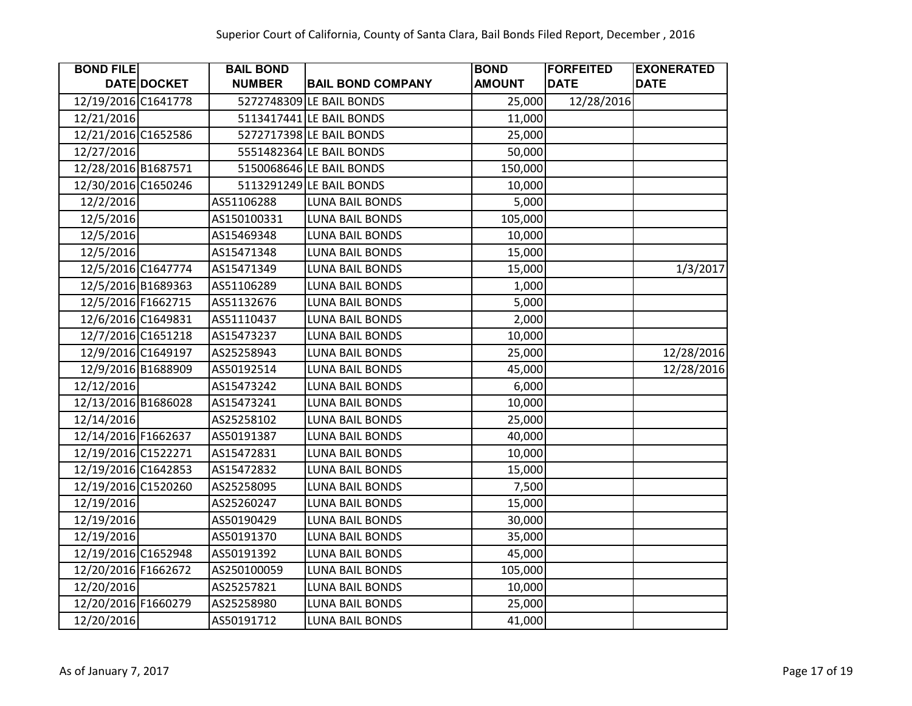| <b>BOND FILE</b>    |                    | <b>BAIL BOND</b> |                          | <b>BOND</b>   | <b>FORFEITED</b> | <b>EXONERATED</b> |
|---------------------|--------------------|------------------|--------------------------|---------------|------------------|-------------------|
|                     | DATE DOCKET        | <b>NUMBER</b>    | <b>BAIL BOND COMPANY</b> | <b>AMOUNT</b> | <b>DATE</b>      | <b>DATE</b>       |
| 12/19/2016 C1641778 |                    |                  | 5272748309 LE BAIL BONDS | 25,000        | 12/28/2016       |                   |
| 12/21/2016          |                    |                  | 5113417441 LE BAIL BONDS | 11,000        |                  |                   |
| 12/21/2016 C1652586 |                    |                  | 5272717398 LE BAIL BONDS | 25,000        |                  |                   |
| 12/27/2016          |                    |                  | 5551482364 LE BAIL BONDS | 50,000        |                  |                   |
| 12/28/2016 B1687571 |                    |                  | 5150068646 LE BAIL BONDS | 150,000       |                  |                   |
| 12/30/2016 C1650246 |                    |                  | 5113291249 LE BAIL BONDS | 10,000        |                  |                   |
| 12/2/2016           |                    | AS51106288       | <b>LUNA BAIL BONDS</b>   | 5,000         |                  |                   |
| 12/5/2016           |                    | AS150100331      | <b>LUNA BAIL BONDS</b>   | 105,000       |                  |                   |
| 12/5/2016           |                    | AS15469348       | LUNA BAIL BONDS          | 10,000        |                  |                   |
| 12/5/2016           |                    | AS15471348       | <b>LUNA BAIL BONDS</b>   | 15,000        |                  |                   |
|                     | 12/5/2016 C1647774 | AS15471349       | LUNA BAIL BONDS          | 15,000        |                  | 1/3/2017          |
|                     | 12/5/2016 B1689363 | AS51106289       | LUNA BAIL BONDS          | 1,000         |                  |                   |
|                     | 12/5/2016 F1662715 | AS51132676       | LUNA BAIL BONDS          | 5,000         |                  |                   |
|                     | 12/6/2016 C1649831 | AS51110437       | LUNA BAIL BONDS          | 2,000         |                  |                   |
|                     | 12/7/2016 C1651218 | AS15473237       | LUNA BAIL BONDS          | 10,000        |                  |                   |
|                     | 12/9/2016 C1649197 | AS25258943       | <b>LUNA BAIL BONDS</b>   | 25,000        |                  | 12/28/2016        |
|                     | 12/9/2016 B1688909 | AS50192514       | LUNA BAIL BONDS          | 45,000        |                  | 12/28/2016        |
| 12/12/2016          |                    | AS15473242       | LUNA BAIL BONDS          | 6,000         |                  |                   |
| 12/13/2016 B1686028 |                    | AS15473241       | <b>LUNA BAIL BONDS</b>   | 10,000        |                  |                   |
| 12/14/2016          |                    | AS25258102       | LUNA BAIL BONDS          | 25,000        |                  |                   |
| 12/14/2016 F1662637 |                    | AS50191387       | LUNA BAIL BONDS          | 40,000        |                  |                   |
| 12/19/2016 C1522271 |                    | AS15472831       | <b>LUNA BAIL BONDS</b>   | 10,000        |                  |                   |
| 12/19/2016 C1642853 |                    | AS15472832       | LUNA BAIL BONDS          | 15,000        |                  |                   |
| 12/19/2016 C1520260 |                    | AS25258095       | <b>LUNA BAIL BONDS</b>   | 7,500         |                  |                   |
| 12/19/2016          |                    | AS25260247       | LUNA BAIL BONDS          | 15,000        |                  |                   |
| 12/19/2016          |                    | AS50190429       | <b>LUNA BAIL BONDS</b>   | 30,000        |                  |                   |
| 12/19/2016          |                    | AS50191370       | <b>LUNA BAIL BONDS</b>   | 35,000        |                  |                   |
| 12/19/2016 C1652948 |                    | AS50191392       | LUNA BAIL BONDS          | 45,000        |                  |                   |
| 12/20/2016 F1662672 |                    | AS250100059      | <b>LUNA BAIL BONDS</b>   | 105,000       |                  |                   |
| 12/20/2016          |                    | AS25257821       | LUNA BAIL BONDS          | 10,000        |                  |                   |
| 12/20/2016 F1660279 |                    | AS25258980       | LUNA BAIL BONDS          | 25,000        |                  |                   |
| 12/20/2016          |                    | AS50191712       | <b>LUNA BAIL BONDS</b>   | 41,000        |                  |                   |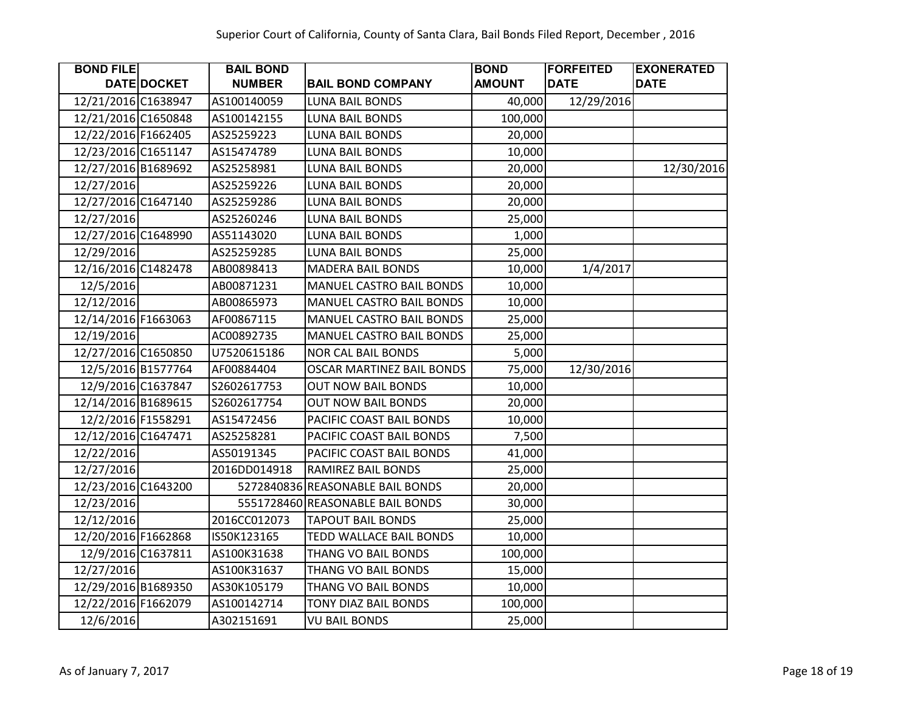| <b>BOND FILE</b>    |                    | <b>BAIL BOND</b> |                                  | <b>BOND</b>   | <b>FORFEITED</b> | <b>EXONERATED</b> |
|---------------------|--------------------|------------------|----------------------------------|---------------|------------------|-------------------|
|                     | DATE DOCKET        | <b>NUMBER</b>    | <b>BAIL BOND COMPANY</b>         | <b>AMOUNT</b> | <b>DATE</b>      | <b>DATE</b>       |
| 12/21/2016 C1638947 |                    | AS100140059      | <b>LUNA BAIL BONDS</b>           | 40,000        | 12/29/2016       |                   |
| 12/21/2016 C1650848 |                    | AS100142155      | <b>LUNA BAIL BONDS</b>           | 100,000       |                  |                   |
| 12/22/2016 F1662405 |                    | AS25259223       | <b>LUNA BAIL BONDS</b>           | 20,000        |                  |                   |
| 12/23/2016 C1651147 |                    | AS15474789       | LUNA BAIL BONDS                  | 10,000        |                  |                   |
| 12/27/2016 B1689692 |                    | AS25258981       | <b>LUNA BAIL BONDS</b>           | 20,000        |                  | 12/30/2016        |
| 12/27/2016          |                    | AS25259226       | LUNA BAIL BONDS                  | 20,000        |                  |                   |
| 12/27/2016 C1647140 |                    | AS25259286       | <b>LUNA BAIL BONDS</b>           | 20,000        |                  |                   |
| 12/27/2016          |                    | AS25260246       | <b>LUNA BAIL BONDS</b>           | 25,000        |                  |                   |
| 12/27/2016 C1648990 |                    | AS51143020       | LUNA BAIL BONDS                  | 1,000         |                  |                   |
| 12/29/2016          |                    | AS25259285       | <b>LUNA BAIL BONDS</b>           | 25,000        |                  |                   |
| 12/16/2016 C1482478 |                    | AB00898413       | <b>MADERA BAIL BONDS</b>         | 10,000        | 1/4/2017         |                   |
| 12/5/2016           |                    | AB00871231       | <b>MANUEL CASTRO BAIL BONDS</b>  | 10,000        |                  |                   |
| 12/12/2016          |                    | AB00865973       | <b>MANUEL CASTRO BAIL BONDS</b>  | 10,000        |                  |                   |
| 12/14/2016 F1663063 |                    | AF00867115       | MANUEL CASTRO BAIL BONDS         | 25,000        |                  |                   |
| 12/19/2016          |                    | AC00892735       | MANUEL CASTRO BAIL BONDS         | 25,000        |                  |                   |
| 12/27/2016 C1650850 |                    | U7520615186      | <b>NOR CAL BAIL BONDS</b>        | 5,000         |                  |                   |
|                     | 12/5/2016 B1577764 | AF00884404       | OSCAR MARTINEZ BAIL BONDS        | 75,000        | 12/30/2016       |                   |
|                     | 12/9/2016 C1637847 | S2602617753      | <b>OUT NOW BAIL BONDS</b>        | 10,000        |                  |                   |
| 12/14/2016 B1689615 |                    | S2602617754      | <b>OUT NOW BAIL BONDS</b>        | 20,000        |                  |                   |
| 12/2/2016 F1558291  |                    | AS15472456       | PACIFIC COAST BAIL BONDS         | 10,000        |                  |                   |
| 12/12/2016 C1647471 |                    | AS25258281       | PACIFIC COAST BAIL BONDS         | 7,500         |                  |                   |
| 12/22/2016          |                    | AS50191345       | PACIFIC COAST BAIL BONDS         | 41,000        |                  |                   |
| 12/27/2016          |                    | 2016DD014918     | RAMIREZ BAIL BONDS               | 25,000        |                  |                   |
| 12/23/2016 C1643200 |                    |                  | 5272840836 REASONABLE BAIL BONDS | 20,000        |                  |                   |
| 12/23/2016          |                    |                  | 5551728460 REASONABLE BAIL BONDS | 30,000        |                  |                   |
| 12/12/2016          |                    | 2016CC012073     | <b>TAPOUT BAIL BONDS</b>         | 25,000        |                  |                   |
| 12/20/2016 F1662868 |                    | IS50K123165      | TEDD WALLACE BAIL BONDS          | 10,000        |                  |                   |
|                     | 12/9/2016 C1637811 | AS100K31638      | THANG VO BAIL BONDS              | 100,000       |                  |                   |
| 12/27/2016          |                    | AS100K31637      | THANG VO BAIL BONDS              | 15,000        |                  |                   |
| 12/29/2016 B1689350 |                    | AS30K105179      | THANG VO BAIL BONDS              | 10,000        |                  |                   |
| 12/22/2016 F1662079 |                    | AS100142714      | TONY DIAZ BAIL BONDS             | 100,000       |                  |                   |
| 12/6/2016           |                    | A302151691       | <b>VU BAIL BONDS</b>             | 25,000        |                  |                   |